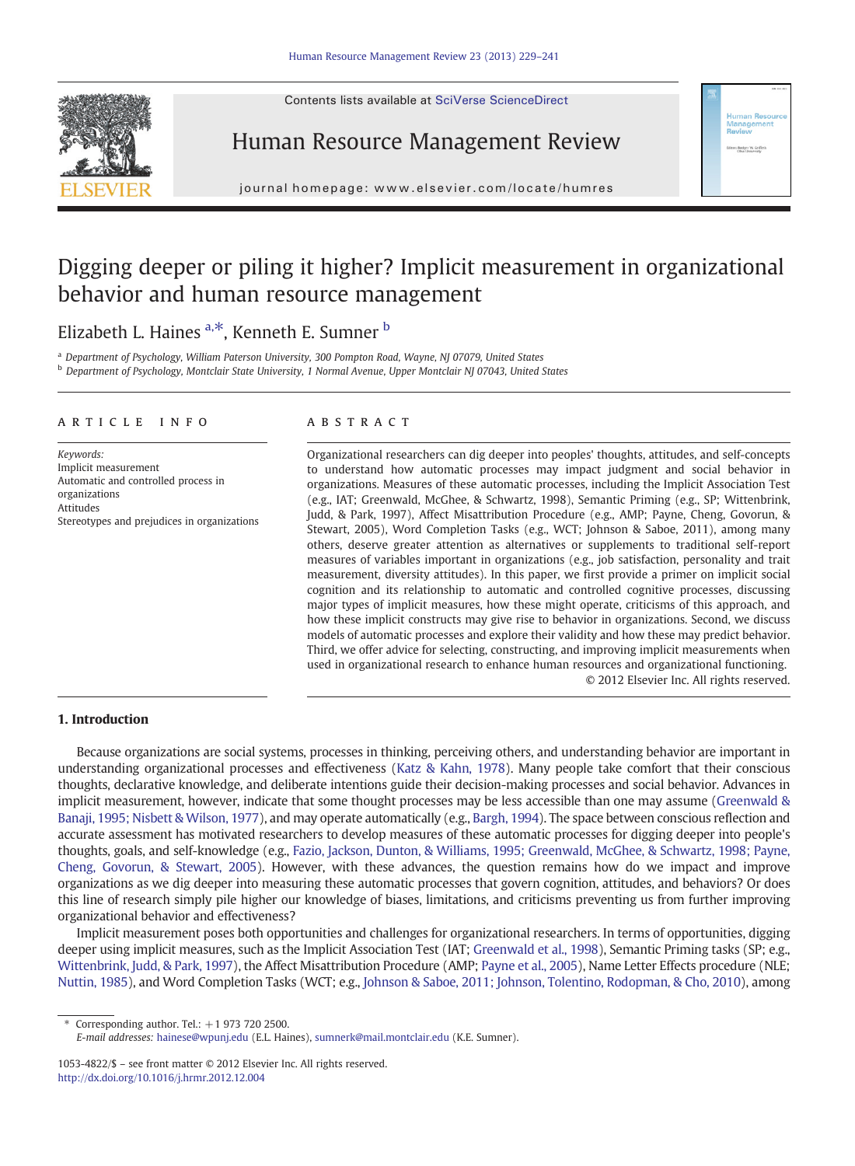Contents lists available at SciVerse ScienceDirect



Human Resource Management Review



iournal homepage: www.elsevier.com/locate/humres journal homepage: www.elsevier.com/locate/humres

# Digging deeper or piling it higher? Implicit measurement in organizational behavior and human resource management

Elizabeth L. Haines  $a, *$ , Kenneth E. Sumner  $<sup>b</sup>$ </sup>

a Department of Psychology, William Paterson University, 300 Pompton Road, Wayne, NJ 07079, United States b Department of Psychology, Montclair State University, 1 Normal Avenue, Upper Montclair NJ 07043, United States

#### article info abstract

Keywords: Implicit measurement Automatic and controlled process in organizations Attitudes Stereotypes and prejudices in organizations

Organizational researchers can dig deeper into peoples' thoughts, attitudes, and self-concepts to understand how automatic processes may impact judgment and social behavior in organizations. Measures of these automatic processes, including the Implicit Association Test (e.g., IAT; Greenwald, McGhee, & Schwartz, 1998), Semantic Priming (e.g., SP; Wittenbrink, Judd, & Park, 1997), Affect Misattribution Procedure (e.g., AMP; Payne, Cheng, Govorun, & Stewart, 2005), Word Completion Tasks (e.g., WCT; Johnson & Saboe, 2011), among many others, deserve greater attention as alternatives or supplements to traditional self-report measures of variables important in organizations (e.g., job satisfaction, personality and trait measurement, diversity attitudes). In this paper, we first provide a primer on implicit social cognition and its relationship to automatic and controlled cognitive processes, discussing major types of implicit measures, how these might operate, criticisms of this approach, and how these implicit constructs may give rise to behavior in organizations. Second, we discuss models of automatic processes and explore their validity and how these may predict behavior. Third, we offer advice for selecting, constructing, and improving implicit measurements when used in organizational research to enhance human resources and organizational functioning. © 2012 Elsevier Inc. All rights reserved.

## 1. Introduction

Because organizations are social systems, processes in thinking, perceiving others, and understanding behavior are important in understanding organizational processes and effectiveness ([Katz & Kahn, 1978\)](#page-11-0). Many people take comfort that their conscious thoughts, declarative knowledge, and deliberate intentions guide their decision-making processes and social behavior. Advances in implicit measurement, however, indicate that some thought processes may be less accessible than one may assume [\(Greenwald &](#page-11-0) [Banaji, 1995; Nisbett & Wilson, 1977\)](#page-11-0), and may operate automatically (e.g., [Bargh, 1994\)](#page-10-0). The space between conscious reflection and accurate assessment has motivated researchers to develop measures of these automatic processes for digging deeper into people's thoughts, goals, and self-knowledge (e.g., [Fazio, Jackson, Dunton, & Williams, 1995; Greenwald, McGhee, & Schwartz, 1998; Payne,](#page-10-0) [Cheng, Govorun, & Stewart, 2005](#page-10-0)). However, with these advances, the question remains how do we impact and improve organizations as we dig deeper into measuring these automatic processes that govern cognition, attitudes, and behaviors? Or does this line of research simply pile higher our knowledge of biases, limitations, and criticisms preventing us from further improving organizational behavior and effectiveness?

Implicit measurement poses both opportunities and challenges for organizational researchers. In terms of opportunities, digging deeper using implicit measures, such as the Implicit Association Test (IAT; [Greenwald et al., 1998\)](#page-11-0), Semantic Priming tasks (SP; e.g., [Wittenbrink, Judd, & Park, 1997](#page-12-0)), the Affect Misattribution Procedure (AMP; [Payne et al., 2005\)](#page-12-0), Name Letter Effects procedure (NLE; [Nuttin, 1985](#page-12-0)), and Word Completion Tasks (WCT; e.g., [Johnson & Saboe, 2011; Johnson, Tolentino, Rodopman, & Cho, 2010](#page-11-0)), among

Corresponding author. Tel.:  $+1$  973 720 2500.

E-mail addresses: [hainese@wpunj.edu](mailto:hainese@wpunj.edu) (E.L. Haines), [sumnerk@mail.montclair.edu](mailto:sumnerk@mail.montclair.edu) (K.E. Sumner).

<sup>1053-4822/\$</sup> – see front matter © 2012 Elsevier Inc. All rights reserved. <http://dx.doi.org/10.1016/j.hrmr.2012.12.004>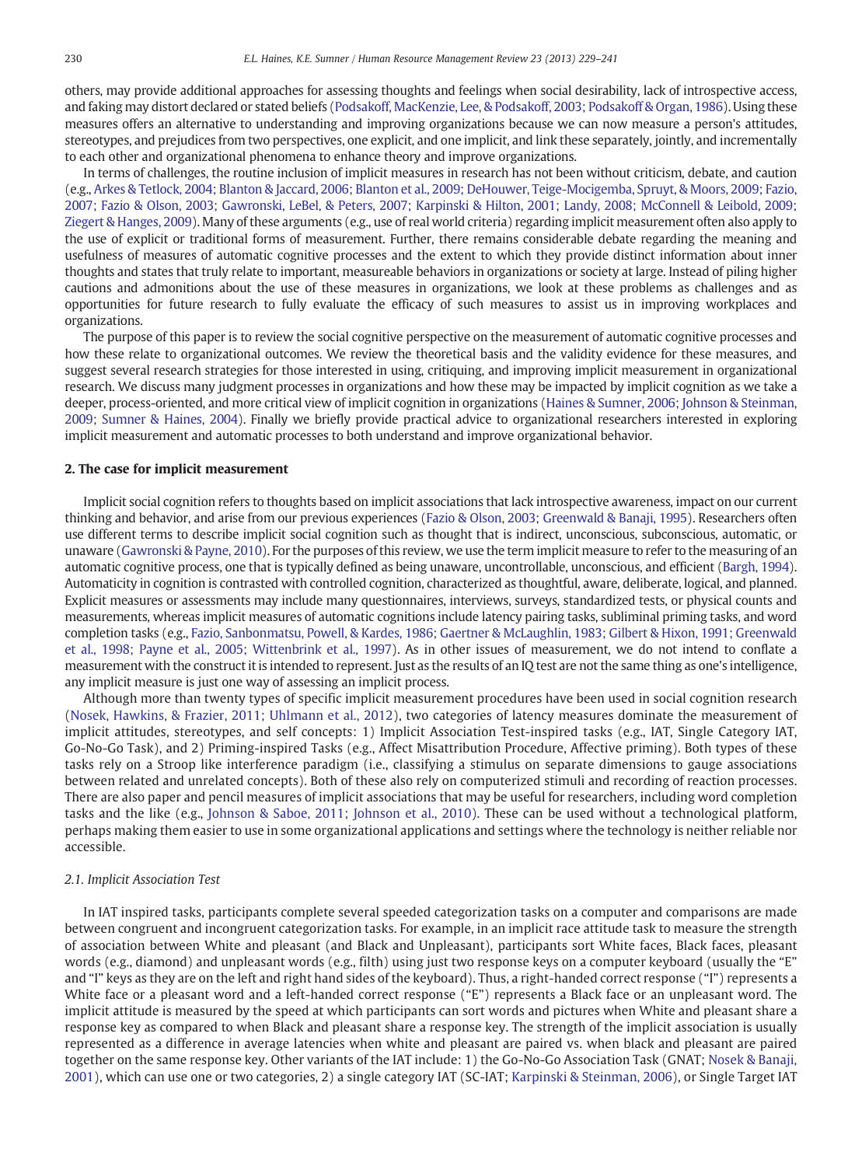others, may provide additional approaches for assessing thoughts and feelings when social desirability, lack of introspective access, and faking may distort declared or stated beliefs [\(Podsakoff, MacKenzie, Lee, & Podsakoff, 2003; Podsakoff & Organ, 1986](#page-12-0)). Using these measures offers an alternative to understanding and improving organizations because we can now measure a person's attitudes, stereotypes, and prejudices from two perspectives, one explicit, and one implicit, and link these separately, jointly, and incrementally to each other and organizational phenomena to enhance theory and improve organizations.

In terms of challenges, the routine inclusion of implicit measures in research has not been without criticism, debate, and caution (e.g., [Arkes & Tetlock, 2004; Blanton & Jaccard, 2006; Blanton et al., 2009; DeHouwer, Teige-Mocigemba, Spruyt, & Moors, 2009; Fazio,](#page-10-0) [2007; Fazio & Olson, 2003; Gawronski, LeBel, & Peters, 2007; Karpinski & Hilton, 2001; Landy, 2008; McConnell & Leibold, 2009;](#page-10-0) [Ziegert & Hanges, 2009](#page-10-0)). Many of these arguments (e.g., use of real world criteria) regarding implicit measurement often also apply to the use of explicit or traditional forms of measurement. Further, there remains considerable debate regarding the meaning and usefulness of measures of automatic cognitive processes and the extent to which they provide distinct information about inner thoughts and states that truly relate to important, measureable behaviors in organizations or society at large. Instead of piling higher cautions and admonitions about the use of these measures in organizations, we look at these problems as challenges and as opportunities for future research to fully evaluate the efficacy of such measures to assist us in improving workplaces and organizations.

The purpose of this paper is to review the social cognitive perspective on the measurement of automatic cognitive processes and how these relate to organizational outcomes. We review the theoretical basis and the validity evidence for these measures, and suggest several research strategies for those interested in using, critiquing, and improving implicit measurement in organizational research. We discuss many judgment processes in organizations and how these may be impacted by implicit cognition as we take a deeper, process-oriented, and more critical view of implicit cognition in organizations ([Haines & Sumner, 2006; Johnson & Steinman,](#page-11-0) [2009; Sumner & Haines, 2004](#page-11-0)). Finally we briefly provide practical advice to organizational researchers interested in exploring implicit measurement and automatic processes to both understand and improve organizational behavior.

#### 2. The case for implicit measurement

Implicit social cognition refers to thoughts based on implicit associations that lack introspective awareness, impact on our current thinking and behavior, and arise from our previous experiences [\(Fazio & Olson, 2003; Greenwald & Banaji, 1995](#page-10-0)). Researchers often use different terms to describe implicit social cognition such as thought that is indirect, unconscious, subconscious, automatic, or unaware [\(Gawronski & Payne, 2010\)](#page-11-0). For the purposes of this review, we use the term implicit measure to refer to the measuring of an automatic cognitive process, one that is typically defined as being unaware, uncontrollable, unconscious, and efficient [\(Bargh, 1994](#page-10-0)). Automaticity in cognition is contrasted with controlled cognition, characterized as thoughtful, aware, deliberate, logical, and planned. Explicit measures or assessments may include many questionnaires, interviews, surveys, standardized tests, or physical counts and measurements, whereas implicit measures of automatic cognitions include latency pairing tasks, subliminal priming tasks, and word completion tasks (e.g., [Fazio, Sanbonmatsu, Powell, & Kardes, 1986; Gaertner & McLaughlin, 1983; Gilbert & Hixon, 1991; Greenwald](#page-10-0) [et al., 1998; Payne et al., 2005; Wittenbrink et al., 1997](#page-10-0)). As in other issues of measurement, we do not intend to conflate a measurement with the construct it is intended to represent. Just as the results of an IQ test are not the same thing as one's intelligence, any implicit measure is just one way of assessing an implicit process.

Although more than twenty types of specific implicit measurement procedures have been used in social cognition research ([Nosek, Hawkins, & Frazier, 2011; Uhlmann et al., 2012](#page-12-0)), two categories of latency measures dominate the measurement of implicit attitudes, stereotypes, and self concepts: 1) Implicit Association Test-inspired tasks (e.g., IAT, Single Category IAT, Go-No-Go Task), and 2) Priming-inspired Tasks (e.g., Affect Misattribution Procedure, Affective priming). Both types of these tasks rely on a Stroop like interference paradigm (i.e., classifying a stimulus on separate dimensions to gauge associations between related and unrelated concepts). Both of these also rely on computerized stimuli and recording of reaction processes. There are also paper and pencil measures of implicit associations that may be useful for researchers, including word completion tasks and the like (e.g., [Johnson & Saboe, 2011; Johnson et al., 2010](#page-11-0)). These can be used without a technological platform, perhaps making them easier to use in some organizational applications and settings where the technology is neither reliable nor accessible.

#### 2.1. Implicit Association Test

In IAT inspired tasks, participants complete several speeded categorization tasks on a computer and comparisons are made between congruent and incongruent categorization tasks. For example, in an implicit race attitude task to measure the strength of association between White and pleasant (and Black and Unpleasant), participants sort White faces, Black faces, pleasant words (e.g., diamond) and unpleasant words (e.g., filth) using just two response keys on a computer keyboard (usually the "E" and "I" keys as they are on the left and right hand sides of the keyboard). Thus, a right-handed correct response ("I") represents a White face or a pleasant word and a left-handed correct response ("E") represents a Black face or an unpleasant word. The implicit attitude is measured by the speed at which participants can sort words and pictures when White and pleasant share a response key as compared to when Black and pleasant share a response key. The strength of the implicit association is usually represented as a difference in average latencies when white and pleasant are paired vs. when black and pleasant are paired together on the same response key. Other variants of the IAT include: 1) the Go-No-Go Association Task (GNAT; [Nosek & Banaji,](#page-11-0) [2001\)](#page-11-0), which can use one or two categories, 2) a single category IAT (SC-IAT; [Karpinski & Steinman, 2006](#page-11-0)), or Single Target IAT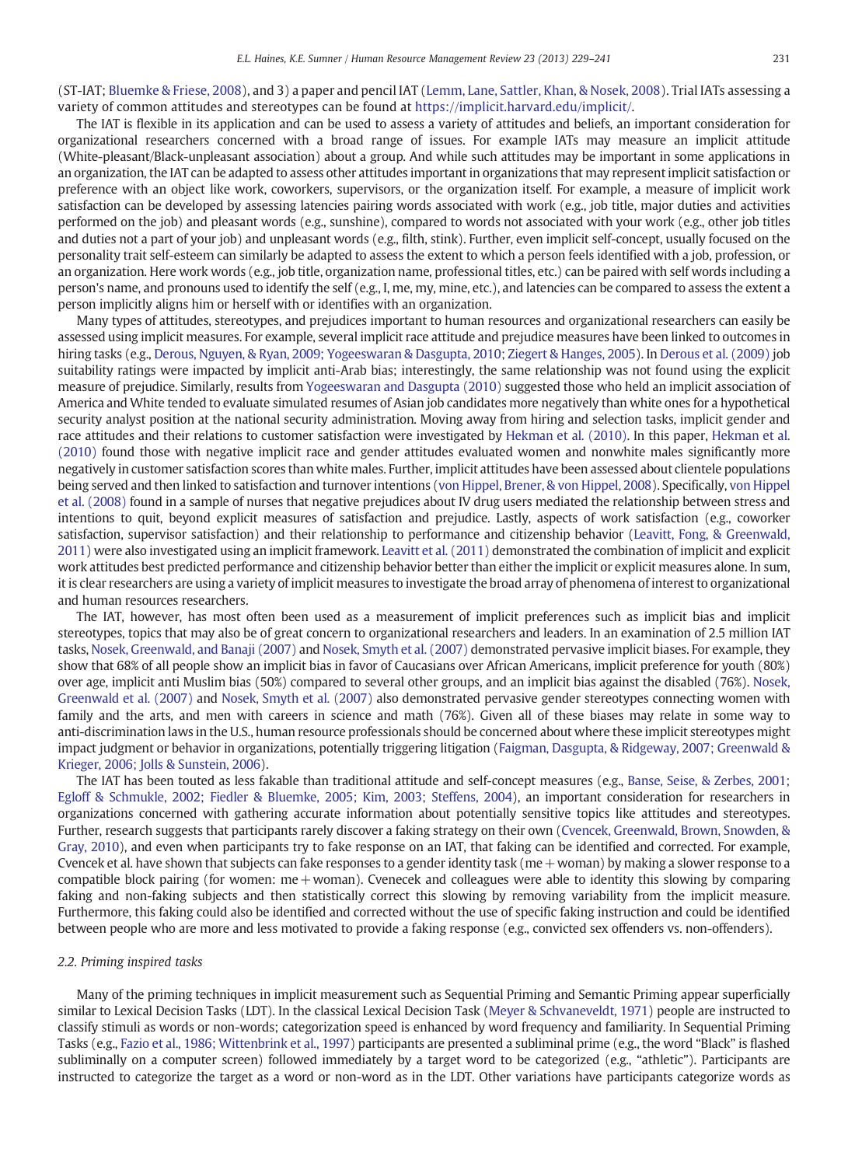(ST-IAT; [Bluemke & Friese, 2008\)](#page-10-0), and 3) a paper and pencil IAT [\(Lemm, Lane, Sattler, Khan, & Nosek, 2008\)](#page-11-0). Trial IATs assessing a variety of common attitudes and stereotypes can be found at <https://implicit.harvard.edu/implicit/>.

The IAT is flexible in its application and can be used to assess a variety of attitudes and beliefs, an important consideration for organizational researchers concerned with a broad range of issues. For example IATs may measure an implicit attitude (White-pleasant/Black-unpleasant association) about a group. And while such attitudes may be important in some applications in an organization, the IAT can be adapted to assess other attitudes important in organizations that may represent implicit satisfaction or preference with an object like work, coworkers, supervisors, or the organization itself. For example, a measure of implicit work satisfaction can be developed by assessing latencies pairing words associated with work (e.g., job title, major duties and activities performed on the job) and pleasant words (e.g., sunshine), compared to words not associated with your work (e.g., other job titles and duties not a part of your job) and unpleasant words (e.g., filth, stink). Further, even implicit self-concept, usually focused on the personality trait self-esteem can similarly be adapted to assess the extent to which a person feels identified with a job, profession, or an organization. Here work words (e.g., job title, organization name, professional titles, etc.) can be paired with self words including a person's name, and pronouns used to identify the self (e.g., I, me, my, mine, etc.), and latencies can be compared to assess the extent a person implicitly aligns him or herself with or identifies with an organization.

Many types of attitudes, stereotypes, and prejudices important to human resources and organizational researchers can easily be assessed using implicit measures. For example, several implicit race attitude and prejudice measures have been linked to outcomes in hiring tasks (e.g., [Derous, Nguyen, & Ryan, 2009; Yogeeswaran & Dasgupta, 2010; Ziegert & Hanges, 2005\)](#page-10-0). In [Derous et al. \(2009\)](#page-10-0) job suitability ratings were impacted by implicit anti-Arab bias; interestingly, the same relationship was not found using the explicit measure of prejudice. Similarly, results from [Yogeeswaran and Dasgupta \(2010\)](#page-12-0) suggested those who held an implicit association of America and White tended to evaluate simulated resumes of Asian job candidates more negatively than white ones for a hypothetical security analyst position at the national security administration. Moving away from hiring and selection tasks, implicit gender and race attitudes and their relations to customer satisfaction were investigated by [Hekman et al. \(2010\)](#page-11-0). In this paper, [Hekman et al.](#page-11-0) [\(2010\)](#page-11-0) found those with negative implicit race and gender attitudes evaluated women and nonwhite males significantly more negatively in customer satisfaction scores than white males. Further, implicit attitudes have been assessed about clientele populations being served and then linked to satisfaction and turnover intentions [\(von Hippel, Brener, & von Hippel, 2008\)](#page-12-0). Specifically, [von Hippel](#page-12-0) [et al. \(2008\)](#page-12-0) found in a sample of nurses that negative prejudices about IV drug users mediated the relationship between stress and intentions to quit, beyond explicit measures of satisfaction and prejudice. Lastly, aspects of work satisfaction (e.g., coworker satisfaction, supervisor satisfaction) and their relationship to performance and citizenship behavior [\(Leavitt, Fong, & Greenwald,](#page-11-0) [2011\)](#page-11-0) were also investigated using an implicit framework. [Leavitt et al. \(2011\)](#page-11-0) demonstrated the combination of implicit and explicit work attitudes best predicted performance and citizenship behavior better than either the implicit or explicit measures alone. In sum, it is clear researchers are using a variety of implicit measures to investigate the broad array of phenomena of interest to organizational and human resources researchers.

The IAT, however, has most often been used as a measurement of implicit preferences such as implicit bias and implicit stereotypes, topics that may also be of great concern to organizational researchers and leaders. In an examination of 2.5 million IAT tasks, [Nosek, Greenwald, and Banaji \(2007\)](#page-11-0) and [Nosek, Smyth et al. \(2007\)](#page-12-0) demonstrated pervasive implicit biases. For example, they show that 68% of all people show an implicit bias in favor of Caucasians over African Americans, implicit preference for youth (80%) over age, implicit anti Muslim bias (50%) compared to several other groups, and an implicit bias against the disabled (76%). [Nosek,](#page-11-0) [Greenwald et al. \(2007\)](#page-11-0) and [Nosek, Smyth et al. \(2007\)](#page-12-0) also demonstrated pervasive gender stereotypes connecting women with family and the arts, and men with careers in science and math (76%). Given all of these biases may relate in some way to anti-discrimination laws in the U.S., human resource professionals should be concerned about where these implicit stereotypes might impact judgment or behavior in organizations, potentially triggering litigation ([Faigman, Dasgupta, & Ridgeway, 2007; Greenwald &](#page-10-0) [Krieger, 2006; Jolls & Sunstein, 2006\)](#page-10-0).

The IAT has been touted as less fakable than traditional attitude and self-concept measures (e.g., [Banse, Seise, & Zerbes, 2001;](#page-10-0) [Egloff & Schmukle, 2002; Fiedler & Bluemke, 2005; Kim, 2003; Steffens, 2004\)](#page-10-0), an important consideration for researchers in organizations concerned with gathering accurate information about potentially sensitive topics like attitudes and stereotypes. Further, research suggests that participants rarely discover a faking strategy on their own [\(Cvencek, Greenwald, Brown, Snowden, &](#page-10-0) [Gray, 2010\)](#page-10-0), and even when participants try to fake response on an IAT, that faking can be identified and corrected. For example, Cvencek et al. have shown that subjects can fake responses to a gender identity task (me  $+$ woman) by making a slower response to a compatible block pairing (for women:  $me + woman$ ). Cvenecek and colleagues were able to identity this slowing by comparing faking and non-faking subjects and then statistically correct this slowing by removing variability from the implicit measure. Furthermore, this faking could also be identified and corrected without the use of specific faking instruction and could be identified between people who are more and less motivated to provide a faking response (e.g., convicted sex offenders vs. non-offenders).

#### 2.2. Priming inspired tasks

Many of the priming techniques in implicit measurement such as Sequential Priming and Semantic Priming appear superficially similar to Lexical Decision Tasks (LDT). In the classical Lexical Decision Task [\(Meyer & Schvaneveldt, 1971\)](#page-11-0) people are instructed to classify stimuli as words or non-words; categorization speed is enhanced by word frequency and familiarity. In Sequential Priming Tasks (e.g., [Fazio et al., 1986; Wittenbrink et al., 1997\)](#page-10-0) participants are presented a subliminal prime (e.g., the word "Black" is flashed subliminally on a computer screen) followed immediately by a target word to be categorized (e.g., "athletic"). Participants are instructed to categorize the target as a word or non-word as in the LDT. Other variations have participants categorize words as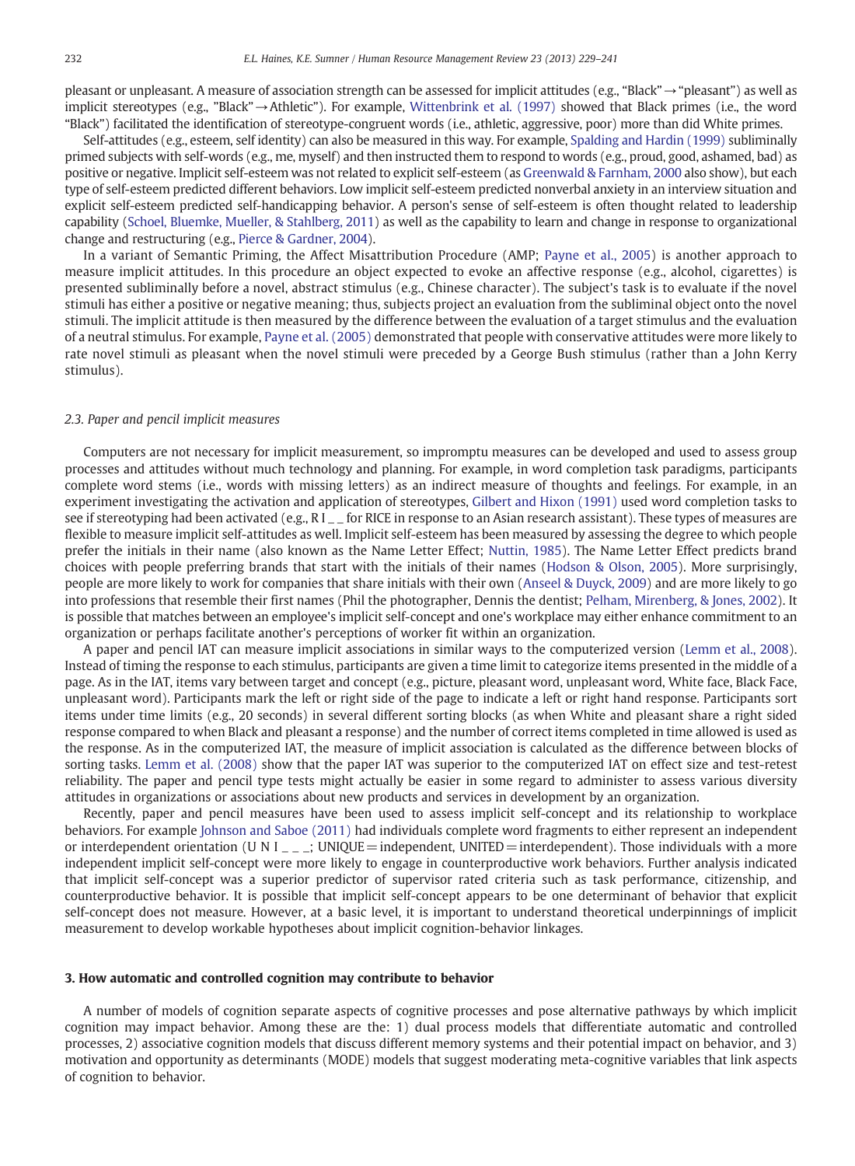pleasant or unpleasant. A measure of association strength can be assessed for implicit attitudes (e.g., "Black"→"pleasant") as well as implicit stereotypes (e.g., "Black"→Athletic"). For example, [Wittenbrink et al. \(1997\)](#page-12-0) showed that Black primes (i.e., the word "Black") facilitated the identification of stereotype-congruent words (i.e., athletic, aggressive, poor) more than did White primes.

Self-attitudes (e.g., esteem, self identity) can also be measured in this way. For example, [Spalding and Hardin \(1999\)](#page-12-0) subliminally primed subjects with self-words (e.g., me, myself) and then instructed them to respond to words (e.g., proud, good, ashamed, bad) as positive or negative. Implicit self-esteem was not related to explicit self-esteem (as [Greenwald & Farnham, 2000](#page-11-0) also show), but each type of self-esteem predicted different behaviors. Low implicit self-esteem predicted nonverbal anxiety in an interview situation and explicit self-esteem predicted self-handicapping behavior. A person's sense of self-esteem is often thought related to leadership capability [\(Schoel, Bluemke, Mueller, & Stahlberg, 2011](#page-12-0)) as well as the capability to learn and change in response to organizational change and restructuring (e.g., [Pierce & Gardner, 2004\)](#page-12-0).

In a variant of Semantic Priming, the Affect Misattribution Procedure (AMP; [Payne et al., 2005](#page-12-0)) is another approach to measure implicit attitudes. In this procedure an object expected to evoke an affective response (e.g., alcohol, cigarettes) is presented subliminally before a novel, abstract stimulus (e.g., Chinese character). The subject's task is to evaluate if the novel stimuli has either a positive or negative meaning; thus, subjects project an evaluation from the subliminal object onto the novel stimuli. The implicit attitude is then measured by the difference between the evaluation of a target stimulus and the evaluation of a neutral stimulus. For example, [Payne et al. \(2005\)](#page-12-0) demonstrated that people with conservative attitudes were more likely to rate novel stimuli as pleasant when the novel stimuli were preceded by a George Bush stimulus (rather than a John Kerry stimulus).

#### 2.3. Paper and pencil implicit measures

Computers are not necessary for implicit measurement, so impromptu measures can be developed and used to assess group processes and attitudes without much technology and planning. For example, in word completion task paradigms, participants complete word stems (i.e., words with missing letters) as an indirect measure of thoughts and feelings. For example, in an experiment investigating the activation and application of stereotypes, [Gilbert and Hixon \(1991\)](#page-11-0) used word completion tasks to see if stereotyping had been activated (e.g., R I \_ \_ for RICE in response to an Asian research assistant). These types of measures are flexible to measure implicit self-attitudes as well. Implicit self-esteem has been measured by assessing the degree to which people prefer the initials in their name (also known as the Name Letter Effect; [Nuttin, 1985\)](#page-12-0). The Name Letter Effect predicts brand choices with people preferring brands that start with the initials of their names [\(Hodson & Olson, 2005\)](#page-11-0). More surprisingly, people are more likely to work for companies that share initials with their own [\(Anseel & Duyck, 2009\)](#page-10-0) and are more likely to go into professions that resemble their first names (Phil the photographer, Dennis the dentist; [Pelham, Mirenberg, & Jones, 2002\)](#page-12-0). It is possible that matches between an employee's implicit self-concept and one's workplace may either enhance commitment to an organization or perhaps facilitate another's perceptions of worker fit within an organization.

A paper and pencil IAT can measure implicit associations in similar ways to the computerized version [\(Lemm et al., 2008](#page-11-0)). Instead of timing the response to each stimulus, participants are given a time limit to categorize items presented in the middle of a page. As in the IAT, items vary between target and concept (e.g., picture, pleasant word, unpleasant word, White face, Black Face, unpleasant word). Participants mark the left or right side of the page to indicate a left or right hand response. Participants sort items under time limits (e.g., 20 seconds) in several different sorting blocks (as when White and pleasant share a right sided response compared to when Black and pleasant a response) and the number of correct items completed in time allowed is used as the response. As in the computerized IAT, the measure of implicit association is calculated as the difference between blocks of sorting tasks. [Lemm et al. \(2008\)](#page-11-0) show that the paper IAT was superior to the computerized IAT on effect size and test-retest reliability. The paper and pencil type tests might actually be easier in some regard to administer to assess various diversity attitudes in organizations or associations about new products and services in development by an organization.

Recently, paper and pencil measures have been used to assess implicit self-concept and its relationship to workplace behaviors. For example [Johnson and Saboe \(2011\)](#page-11-0) had individuals complete word fragments to either represent an independent or interdependent orientation (U N I  $_{---}$ ; UNIQUE = independent, UNITED = interdependent). Those individuals with a more independent implicit self-concept were more likely to engage in counterproductive work behaviors. Further analysis indicated that implicit self-concept was a superior predictor of supervisor rated criteria such as task performance, citizenship, and counterproductive behavior. It is possible that implicit self-concept appears to be one determinant of behavior that explicit self-concept does not measure. However, at a basic level, it is important to understand theoretical underpinnings of implicit measurement to develop workable hypotheses about implicit cognition-behavior linkages.

## 3. How automatic and controlled cognition may contribute to behavior

A number of models of cognition separate aspects of cognitive processes and pose alternative pathways by which implicit cognition may impact behavior. Among these are the: 1) dual process models that differentiate automatic and controlled processes, 2) associative cognition models that discuss different memory systems and their potential impact on behavior, and 3) motivation and opportunity as determinants (MODE) models that suggest moderating meta-cognitive variables that link aspects of cognition to behavior.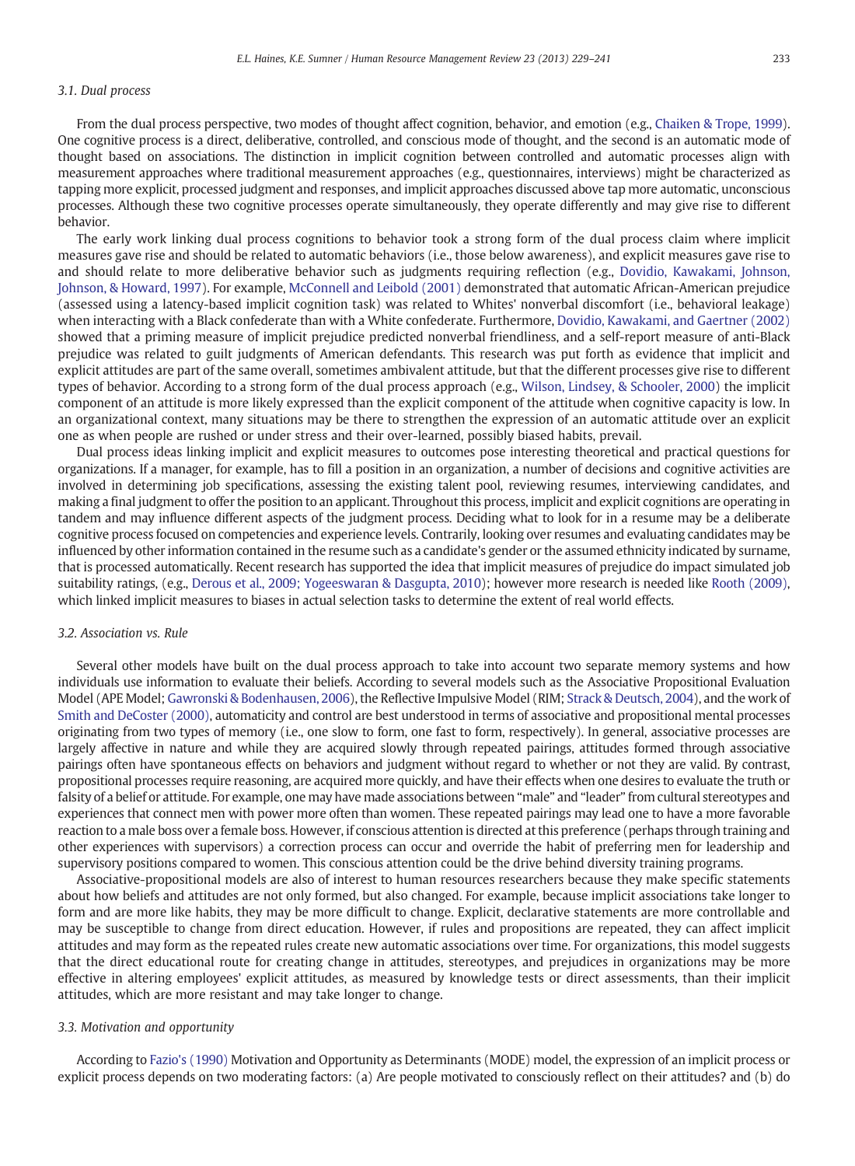# 3.1. Dual process

From the dual process perspective, two modes of thought affect cognition, behavior, and emotion (e.g., [Chaiken & Trope, 1999\)](#page-10-0). One cognitive process is a direct, deliberative, controlled, and conscious mode of thought, and the second is an automatic mode of thought based on associations. The distinction in implicit cognition between controlled and automatic processes align with measurement approaches where traditional measurement approaches (e.g., questionnaires, interviews) might be characterized as tapping more explicit, processed judgment and responses, and implicit approaches discussed above tap more automatic, unconscious processes. Although these two cognitive processes operate simultaneously, they operate differently and may give rise to different behavior.

The early work linking dual process cognitions to behavior took a strong form of the dual process claim where implicit measures gave rise and should be related to automatic behaviors (i.e., those below awareness), and explicit measures gave rise to and should relate to more deliberative behavior such as judgments requiring reflection (e.g., [Dovidio, Kawakami, Johnson,](#page-10-0) [Johnson, & Howard, 1997](#page-10-0)). For example, [McConnell and Leibold \(2001\)](#page-11-0) demonstrated that automatic African-American prejudice (assessed using a latency-based implicit cognition task) was related to Whites' nonverbal discomfort (i.e., behavioral leakage) when interacting with a Black confederate than with a White confederate. Furthermore, [Dovidio, Kawakami, and Gaertner \(2002\)](#page-10-0) showed that a priming measure of implicit prejudice predicted nonverbal friendliness, and a self-report measure of anti-Black prejudice was related to guilt judgments of American defendants. This research was put forth as evidence that implicit and explicit attitudes are part of the same overall, sometimes ambivalent attitude, but that the different processes give rise to different types of behavior. According to a strong form of the dual process approach (e.g., [Wilson, Lindsey, & Schooler, 2000](#page-12-0)) the implicit component of an attitude is more likely expressed than the explicit component of the attitude when cognitive capacity is low. In an organizational context, many situations may be there to strengthen the expression of an automatic attitude over an explicit one as when people are rushed or under stress and their over-learned, possibly biased habits, prevail.

Dual process ideas linking implicit and explicit measures to outcomes pose interesting theoretical and practical questions for organizations. If a manager, for example, has to fill a position in an organization, a number of decisions and cognitive activities are involved in determining job specifications, assessing the existing talent pool, reviewing resumes, interviewing candidates, and making a final judgment to offer the position to an applicant. Throughout this process, implicit and explicit cognitions are operating in tandem and may influence different aspects of the judgment process. Deciding what to look for in a resume may be a deliberate cognitive process focused on competencies and experience levels. Contrarily, looking over resumes and evaluating candidates may be influenced by other information contained in the resume such as a candidate's gender or the assumed ethnicity indicated by surname, that is processed automatically. Recent research has supported the idea that implicit measures of prejudice do impact simulated job suitability ratings, (e.g., [Derous et al., 2009; Yogeeswaran & Dasgupta, 2010](#page-10-0)); however more research is needed like [Rooth \(2009\)](#page-12-0), which linked implicit measures to biases in actual selection tasks to determine the extent of real world effects.

# 3.2. Association vs. Rule

Several other models have built on the dual process approach to take into account two separate memory systems and how individuals use information to evaluate their beliefs. According to several models such as the Associative Propositional Evaluation Model (APE Model; [Gawronski & Bodenhausen, 2006](#page-11-0)), the Reflective Impulsive Model (RIM; [Strack & Deutsch, 2004](#page-12-0)), and the work of [Smith and DeCoster \(2000\)](#page-12-0), automaticity and control are best understood in terms of associative and propositional mental processes originating from two types of memory (i.e., one slow to form, one fast to form, respectively). In general, associative processes are largely affective in nature and while they are acquired slowly through repeated pairings, attitudes formed through associative pairings often have spontaneous effects on behaviors and judgment without regard to whether or not they are valid. By contrast, propositional processes require reasoning, are acquired more quickly, and have their effects when one desires to evaluate the truth or falsity of a belief or attitude. For example, one may have made associations between "male" and "leader" from cultural stereotypes and experiences that connect men with power more often than women. These repeated pairings may lead one to have a more favorable reaction to a male boss over a female boss. However, if conscious attention is directed at this preference (perhaps through training and other experiences with supervisors) a correction process can occur and override the habit of preferring men for leadership and supervisory positions compared to women. This conscious attention could be the drive behind diversity training programs.

Associative-propositional models are also of interest to human resources researchers because they make specific statements about how beliefs and attitudes are not only formed, but also changed. For example, because implicit associations take longer to form and are more like habits, they may be more difficult to change. Explicit, declarative statements are more controllable and may be susceptible to change from direct education. However, if rules and propositions are repeated, they can affect implicit attitudes and may form as the repeated rules create new automatic associations over time. For organizations, this model suggests that the direct educational route for creating change in attitudes, stereotypes, and prejudices in organizations may be more effective in altering employees' explicit attitudes, as measured by knowledge tests or direct assessments, than their implicit attitudes, which are more resistant and may take longer to change.

# 3.3. Motivation and opportunity

According to [Fazio's \(1990\)](#page-10-0) Motivation and Opportunity as Determinants (MODE) model, the expression of an implicit process or explicit process depends on two moderating factors: (a) Are people motivated to consciously reflect on their attitudes? and (b) do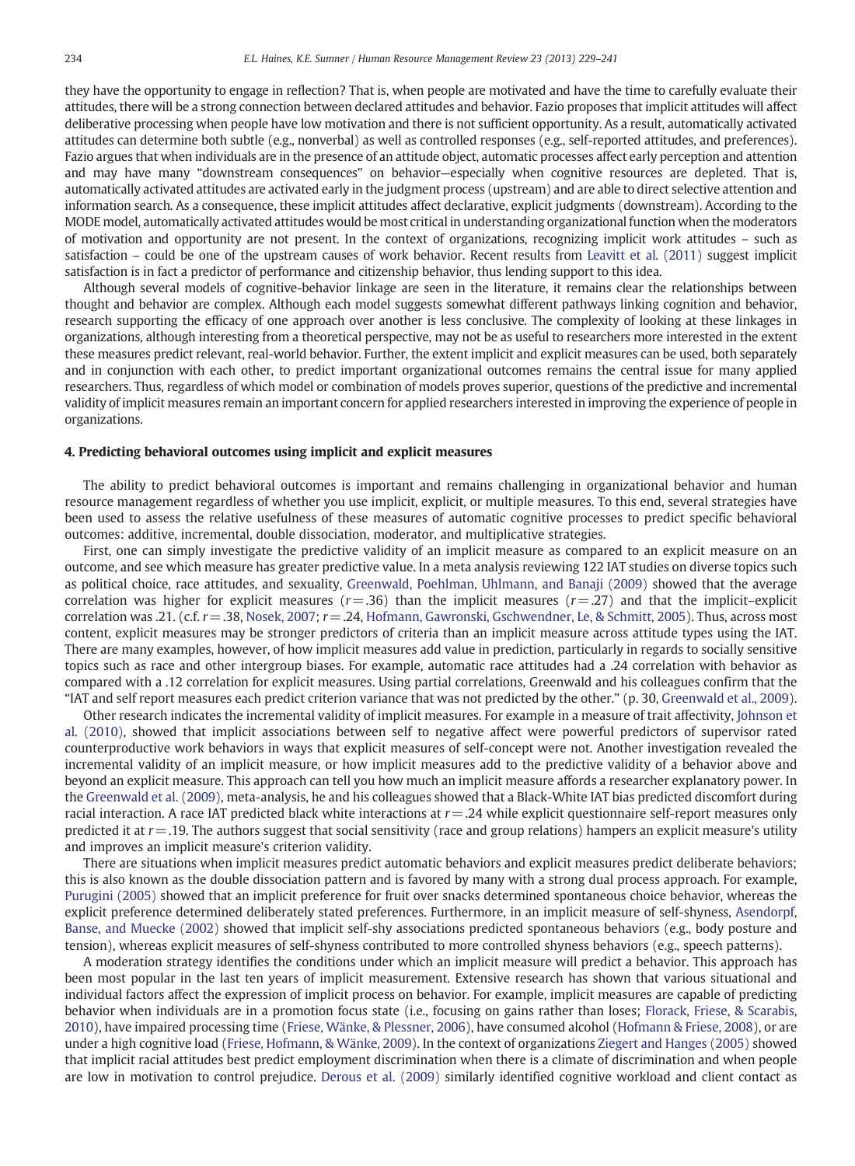they have the opportunity to engage in reflection? That is, when people are motivated and have the time to carefully evaluate their attitudes, there will be a strong connection between declared attitudes and behavior. Fazio proposes that implicit attitudes will affect deliberative processing when people have low motivation and there is not sufficient opportunity. As a result, automatically activated attitudes can determine both subtle (e.g., nonverbal) as well as controlled responses (e.g., self-reported attitudes, and preferences). Fazio argues that when individuals are in the presence of an attitude object, automatic processes affect early perception and attention and may have many "downstream consequences" on behavior—especially when cognitive resources are depleted. That is, automatically activated attitudes are activated early in the judgment process (upstream) and are able to direct selective attention and information search. As a consequence, these implicit attitudes affect declarative, explicit judgments (downstream). According to the MODE model, automatically activated attitudes would be most critical in understanding organizational function when the moderators of motivation and opportunity are not present. In the context of organizations, recognizing implicit work attitudes – such as satisfaction – could be one of the upstream causes of work behavior. Recent results from [Leavitt et al. \(2011\)](#page-11-0) suggest implicit satisfaction is in fact a predictor of performance and citizenship behavior, thus lending support to this idea.

Although several models of cognitive-behavior linkage are seen in the literature, it remains clear the relationships between thought and behavior are complex. Although each model suggests somewhat different pathways linking cognition and behavior, research supporting the efficacy of one approach over another is less conclusive. The complexity of looking at these linkages in organizations, although interesting from a theoretical perspective, may not be as useful to researchers more interested in the extent these measures predict relevant, real-world behavior. Further, the extent implicit and explicit measures can be used, both separately and in conjunction with each other, to predict important organizational outcomes remains the central issue for many applied researchers. Thus, regardless of which model or combination of models proves superior, questions of the predictive and incremental validity of implicit measures remain an important concern for applied researchers interested in improving the experience of people in organizations.

#### 4. Predicting behavioral outcomes using implicit and explicit measures

The ability to predict behavioral outcomes is important and remains challenging in organizational behavior and human resource management regardless of whether you use implicit, explicit, or multiple measures. To this end, several strategies have been used to assess the relative usefulness of these measures of automatic cognitive processes to predict specific behavioral outcomes: additive, incremental, double dissociation, moderator, and multiplicative strategies.

First, one can simply investigate the predictive validity of an implicit measure as compared to an explicit measure on an outcome, and see which measure has greater predictive value. In a meta analysis reviewing 122 IAT studies on diverse topics such as political choice, race attitudes, and sexuality, [Greenwald, Poehlman, Uhlmann, and Banaji \(2009\)](#page-11-0) showed that the average correlation was higher for explicit measures  $(r=.36)$  than the implicit measures  $(r=.27)$  and that the implicit–explicit correlation was .21. (c.f.  $r = .38$ , [Nosek, 2007;](#page-11-0)  $r = .24$ , [Hofmann, Gawronski, Gschwendner, Le, & Schmitt, 2005\)](#page-11-0). Thus, across most content, explicit measures may be stronger predictors of criteria than an implicit measure across attitude types using the IAT. There are many examples, however, of how implicit measures add value in prediction, particularly in regards to socially sensitive topics such as race and other intergroup biases. For example, automatic race attitudes had a .24 correlation with behavior as compared with a .12 correlation for explicit measures. Using partial correlations, Greenwald and his colleagues confirm that the "IAT and self report measures each predict criterion variance that was not predicted by the other." (p. 30, [Greenwald et al., 2009](#page-11-0)).

Other research indicates the incremental validity of implicit measures. For example in a measure of trait affectivity, [Johnson et](#page-11-0) [al. \(2010\),](#page-11-0) showed that implicit associations between self to negative affect were powerful predictors of supervisor rated counterproductive work behaviors in ways that explicit measures of self-concept were not. Another investigation revealed the incremental validity of an implicit measure, or how implicit measures add to the predictive validity of a behavior above and beyond an explicit measure. This approach can tell you how much an implicit measure affords a researcher explanatory power. In the [Greenwald et al. \(2009\),](#page-11-0) meta-analysis, he and his colleagues showed that a Black-White IAT bias predicted discomfort during racial interaction. A race IAT predicted black white interactions at  $r = .24$  while explicit questionnaire self-report measures only predicted it at  $r = .19$ . The authors suggest that social sensitivity (race and group relations) hampers an explicit measure's utility and improves an implicit measure's criterion validity.

There are situations when implicit measures predict automatic behaviors and explicit measures predict deliberate behaviors; this is also known as the double dissociation pattern and is favored by many with a strong dual process approach. For example, [Purugini \(2005\)](#page-12-0) showed that an implicit preference for fruit over snacks determined spontaneous choice behavior, whereas the explicit preference determined deliberately stated preferences. Furthermore, in an implicit measure of self-shyness, [Asendorpf,](#page-10-0) [Banse, and Muecke \(2002\)](#page-10-0) showed that implicit self-shy associations predicted spontaneous behaviors (e.g., body posture and tension), whereas explicit measures of self-shyness contributed to more controlled shyness behaviors (e.g., speech patterns).

A moderation strategy identifies the conditions under which an implicit measure will predict a behavior. This approach has been most popular in the last ten years of implicit measurement. Extensive research has shown that various situational and individual factors affect the expression of implicit process on behavior. For example, implicit measures are capable of predicting behavior when individuals are in a promotion focus state (i.e., focusing on gains rather than loses; [Florack, Friese, & Scarabis,](#page-10-0) [2010](#page-10-0)), have impaired processing time ([Friese, Wänke, & Plessner, 2006](#page-11-0)), have consumed alcohol [\(Hofmann & Friese, 2008](#page-11-0)), or are under a high cognitive load ([Friese, Hofmann, & Wänke, 2009\)](#page-10-0). In the context of organizations [Ziegert and Hanges \(2005\)](#page-12-0) showed that implicit racial attitudes best predict employment discrimination when there is a climate of discrimination and when people are low in motivation to control prejudice. [Derous et al. \(2009\)](#page-10-0) similarly identified cognitive workload and client contact as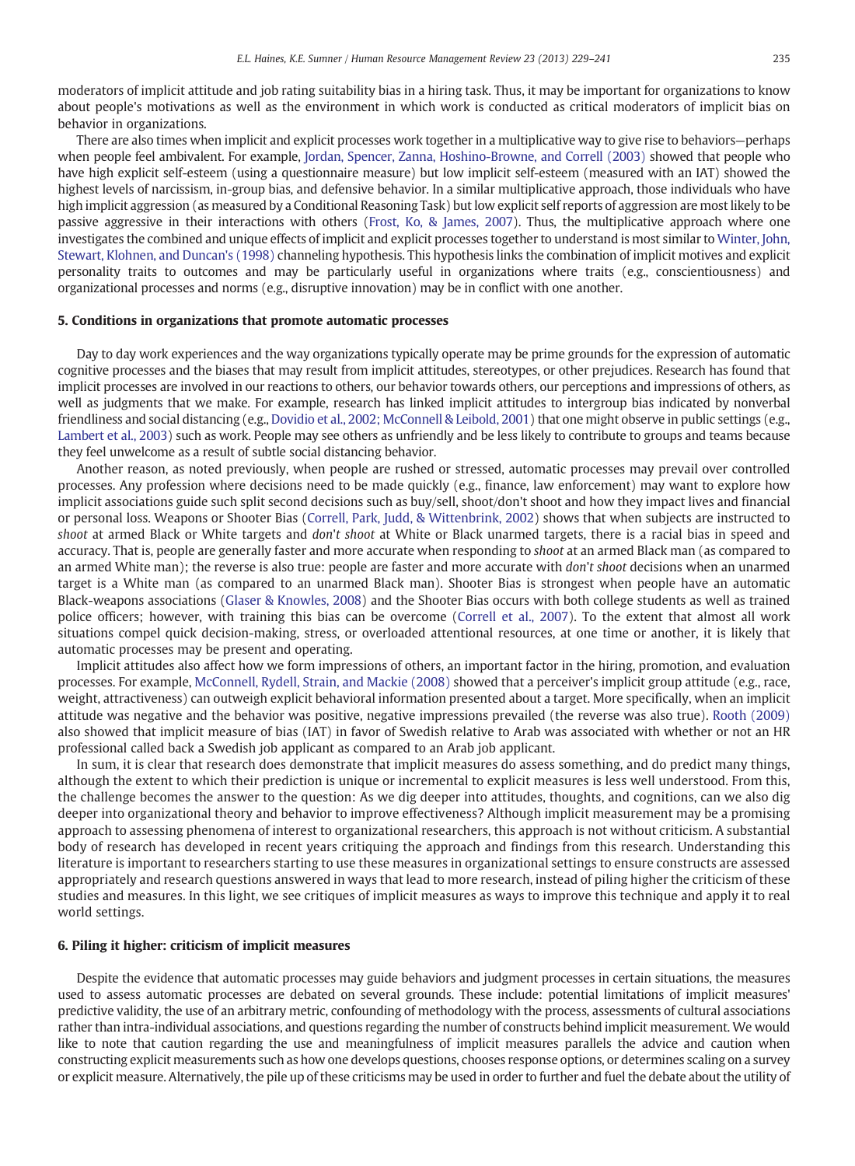moderators of implicit attitude and job rating suitability bias in a hiring task. Thus, it may be important for organizations to know about people's motivations as well as the environment in which work is conducted as critical moderators of implicit bias on behavior in organizations.

There are also times when implicit and explicit processes work together in a multiplicative way to give rise to behaviors—perhaps when people feel ambivalent. For example, [Jordan, Spencer, Zanna, Hoshino-Browne, and Correll \(2003\)](#page-11-0) showed that people who have high explicit self-esteem (using a questionnaire measure) but low implicit self-esteem (measured with an IAT) showed the highest levels of narcissism, in-group bias, and defensive behavior. In a similar multiplicative approach, those individuals who have high implicit aggression (as measured by a Conditional Reasoning Task) but low explicit self reports of aggression are most likely to be passive aggressive in their interactions with others ([Frost, Ko, & James, 2007\)](#page-11-0). Thus, the multiplicative approach where one investigates the combined and unique effects of implicit and explicit processes together to understand is most similar to [Winter, John,](#page-12-0) [Stewart, Klohnen, and Duncan's \(1998\)](#page-12-0) channeling hypothesis. This hypothesis links the combination of implicit motives and explicit personality traits to outcomes and may be particularly useful in organizations where traits (e.g., conscientiousness) and organizational processes and norms (e.g., disruptive innovation) may be in conflict with one another.

#### 5. Conditions in organizations that promote automatic processes

Day to day work experiences and the way organizations typically operate may be prime grounds for the expression of automatic cognitive processes and the biases that may result from implicit attitudes, stereotypes, or other prejudices. Research has found that implicit processes are involved in our reactions to others, our behavior towards others, our perceptions and impressions of others, as well as judgments that we make. For example, research has linked implicit attitudes to intergroup bias indicated by nonverbal friendliness and social distancing (e.g., [Dovidio et al., 2002; McConnell & Leibold, 2001](#page-10-0)) that one might observe in public settings (e.g., [Lambert et al., 2003\)](#page-11-0) such as work. People may see others as unfriendly and be less likely to contribute to groups and teams because they feel unwelcome as a result of subtle social distancing behavior.

Another reason, as noted previously, when people are rushed or stressed, automatic processes may prevail over controlled processes. Any profession where decisions need to be made quickly (e.g., finance, law enforcement) may want to explore how implicit associations guide such split second decisions such as buy/sell, shoot/don't shoot and how they impact lives and financial or personal loss. Weapons or Shooter Bias ([Correll, Park, Judd, & Wittenbrink, 2002\)](#page-10-0) shows that when subjects are instructed to shoot at armed Black or White targets and don't shoot at White or Black unarmed targets, there is a racial bias in speed and accuracy. That is, people are generally faster and more accurate when responding to shoot at an armed Black man (as compared to an armed White man); the reverse is also true: people are faster and more accurate with don't shoot decisions when an unarmed target is a White man (as compared to an unarmed Black man). Shooter Bias is strongest when people have an automatic Black-weapons associations ([Glaser & Knowles, 2008](#page-11-0)) and the Shooter Bias occurs with both college students as well as trained police officers; however, with training this bias can be overcome [\(Correll et al., 2007\)](#page-10-0). To the extent that almost all work situations compel quick decision-making, stress, or overloaded attentional resources, at one time or another, it is likely that automatic processes may be present and operating.

Implicit attitudes also affect how we form impressions of others, an important factor in the hiring, promotion, and evaluation processes. For example, [McConnell, Rydell, Strain, and Mackie \(2008\)](#page-11-0) showed that a perceiver's implicit group attitude (e.g., race, weight, attractiveness) can outweigh explicit behavioral information presented about a target. More specifically, when an implicit attitude was negative and the behavior was positive, negative impressions prevailed (the reverse was also true). [Rooth \(2009\)](#page-12-0) also showed that implicit measure of bias (IAT) in favor of Swedish relative to Arab was associated with whether or not an HR professional called back a Swedish job applicant as compared to an Arab job applicant.

In sum, it is clear that research does demonstrate that implicit measures do assess something, and do predict many things, although the extent to which their prediction is unique or incremental to explicit measures is less well understood. From this, the challenge becomes the answer to the question: As we dig deeper into attitudes, thoughts, and cognitions, can we also dig deeper into organizational theory and behavior to improve effectiveness? Although implicit measurement may be a promising approach to assessing phenomena of interest to organizational researchers, this approach is not without criticism. A substantial body of research has developed in recent years critiquing the approach and findings from this research. Understanding this literature is important to researchers starting to use these measures in organizational settings to ensure constructs are assessed appropriately and research questions answered in ways that lead to more research, instead of piling higher the criticism of these studies and measures. In this light, we see critiques of implicit measures as ways to improve this technique and apply it to real world settings.

#### 6. Piling it higher: criticism of implicit measures

Despite the evidence that automatic processes may guide behaviors and judgment processes in certain situations, the measures used to assess automatic processes are debated on several grounds. These include: potential limitations of implicit measures' predictive validity, the use of an arbitrary metric, confounding of methodology with the process, assessments of cultural associations rather than intra-individual associations, and questions regarding the number of constructs behind implicit measurement. We would like to note that caution regarding the use and meaningfulness of implicit measures parallels the advice and caution when constructing explicit measurements such as how one develops questions, chooses response options, or determines scaling on a survey or explicit measure. Alternatively, the pile up of these criticisms may be used in order to further and fuel the debate about the utility of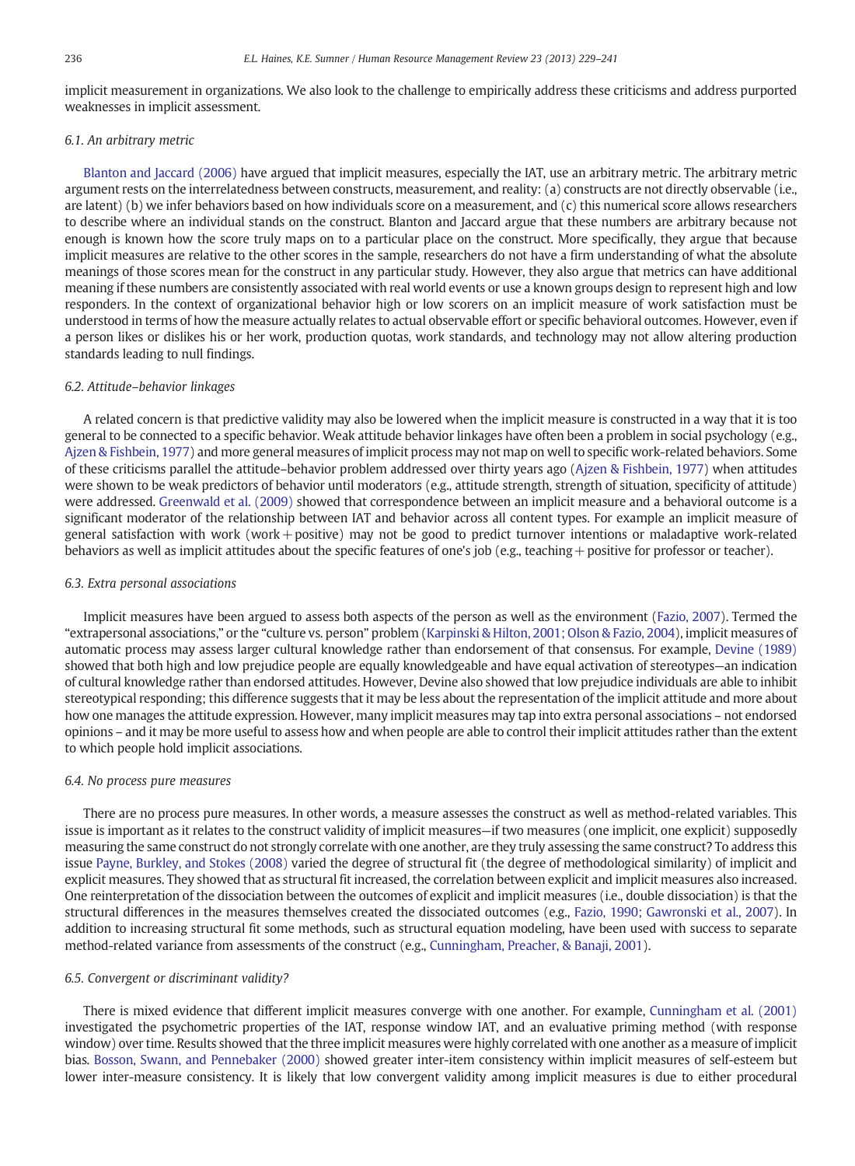implicit measurement in organizations. We also look to the challenge to empirically address these criticisms and address purported weaknesses in implicit assessment.

# 6.1. An arbitrary metric

[Blanton and Jaccard \(2006\)](#page-10-0) have argued that implicit measures, especially the IAT, use an arbitrary metric. The arbitrary metric argument rests on the interrelatedness between constructs, measurement, and reality: (a) constructs are not directly observable (i.e., are latent) (b) we infer behaviors based on how individuals score on a measurement, and (c) this numerical score allows researchers to describe where an individual stands on the construct. Blanton and Jaccard argue that these numbers are arbitrary because not enough is known how the score truly maps on to a particular place on the construct. More specifically, they argue that because implicit measures are relative to the other scores in the sample, researchers do not have a firm understanding of what the absolute meanings of those scores mean for the construct in any particular study. However, they also argue that metrics can have additional meaning if these numbers are consistently associated with real world events or use a known groups design to represent high and low responders. In the context of organizational behavior high or low scorers on an implicit measure of work satisfaction must be understood in terms of how the measure actually relates to actual observable effort or specific behavioral outcomes. However, even if a person likes or dislikes his or her work, production quotas, work standards, and technology may not allow altering production standards leading to null findings.

## 6.2. Attitude–behavior linkages

A related concern is that predictive validity may also be lowered when the implicit measure is constructed in a way that it is too general to be connected to a specific behavior. Weak attitude behavior linkages have often been a problem in social psychology (e.g., [Ajzen & Fishbein, 1977\)](#page-10-0) and more general measures of implicit process may not map on well to specific work-related behaviors. Some of these criticisms parallel the attitude–behavior problem addressed over thirty years ago [\(Ajzen & Fishbein, 1977\)](#page-10-0) when attitudes were shown to be weak predictors of behavior until moderators (e.g., attitude strength, strength of situation, specificity of attitude) were addressed. [Greenwald et al. \(2009\)](#page-11-0) showed that correspondence between an implicit measure and a behavioral outcome is a significant moderator of the relationship between IAT and behavior across all content types. For example an implicit measure of general satisfaction with work (work+positive) may not be good to predict turnover intentions or maladaptive work-related behaviors as well as implicit attitudes about the specific features of one's job (e.g., teaching + positive for professor or teacher).

# 6.3. Extra personal associations

Implicit measures have been argued to assess both aspects of the person as well as the environment [\(Fazio, 2007\)](#page-10-0). Termed the "extrapersonal associations," or the "culture vs. person" problem ([Karpinski & Hilton, 2001; Olson & Fazio, 2004\)](#page-11-0), implicit measures of automatic process may assess larger cultural knowledge rather than endorsement of that consensus. For example, [Devine \(1989\)](#page-10-0) showed that both high and low prejudice people are equally knowledgeable and have equal activation of stereotypes—an indication of cultural knowledge rather than endorsed attitudes. However, Devine also showed that low prejudice individuals are able to inhibit stereotypical responding; this difference suggests that it may be less about the representation of the implicit attitude and more about how one manages the attitude expression. However, many implicit measures may tap into extra personal associations – not endorsed opinions – and it may be more useful to assess how and when people are able to control their implicit attitudes rather than the extent to which people hold implicit associations.

# 6.4. No process pure measures

There are no process pure measures. In other words, a measure assesses the construct as well as method-related variables. This issue is important as it relates to the construct validity of implicit measures—if two measures (one implicit, one explicit) supposedly measuring the same construct do not strongly correlate with one another, are they truly assessing the same construct? To address this issue [Payne, Burkley, and Stokes \(2008\)](#page-12-0) varied the degree of structural fit (the degree of methodological similarity) of implicit and explicit measures. They showed that as structural fit increased, the correlation between explicit and implicit measures also increased. One reinterpretation of the dissociation between the outcomes of explicit and implicit measures (i.e., double dissociation) is that the structural differences in the measures themselves created the dissociated outcomes (e.g., [Fazio, 1990; Gawronski et al., 2007](#page-10-0)). In addition to increasing structural fit some methods, such as structural equation modeling, have been used with success to separate method-related variance from assessments of the construct (e.g., [Cunningham, Preacher, & Banaji, 2001](#page-10-0)).

#### 6.5. Convergent or discriminant validity?

There is mixed evidence that different implicit measures converge with one another. For example, [Cunningham et al. \(2001\)](#page-10-0) investigated the psychometric properties of the IAT, response window IAT, and an evaluative priming method (with response window) over time. Results showed that the three implicit measures were highly correlated with one another as a measure of implicit bias. [Bosson, Swann, and Pennebaker \(2000\)](#page-10-0) showed greater inter-item consistency within implicit measures of self-esteem but lower inter-measure consistency. It is likely that low convergent validity among implicit measures is due to either procedural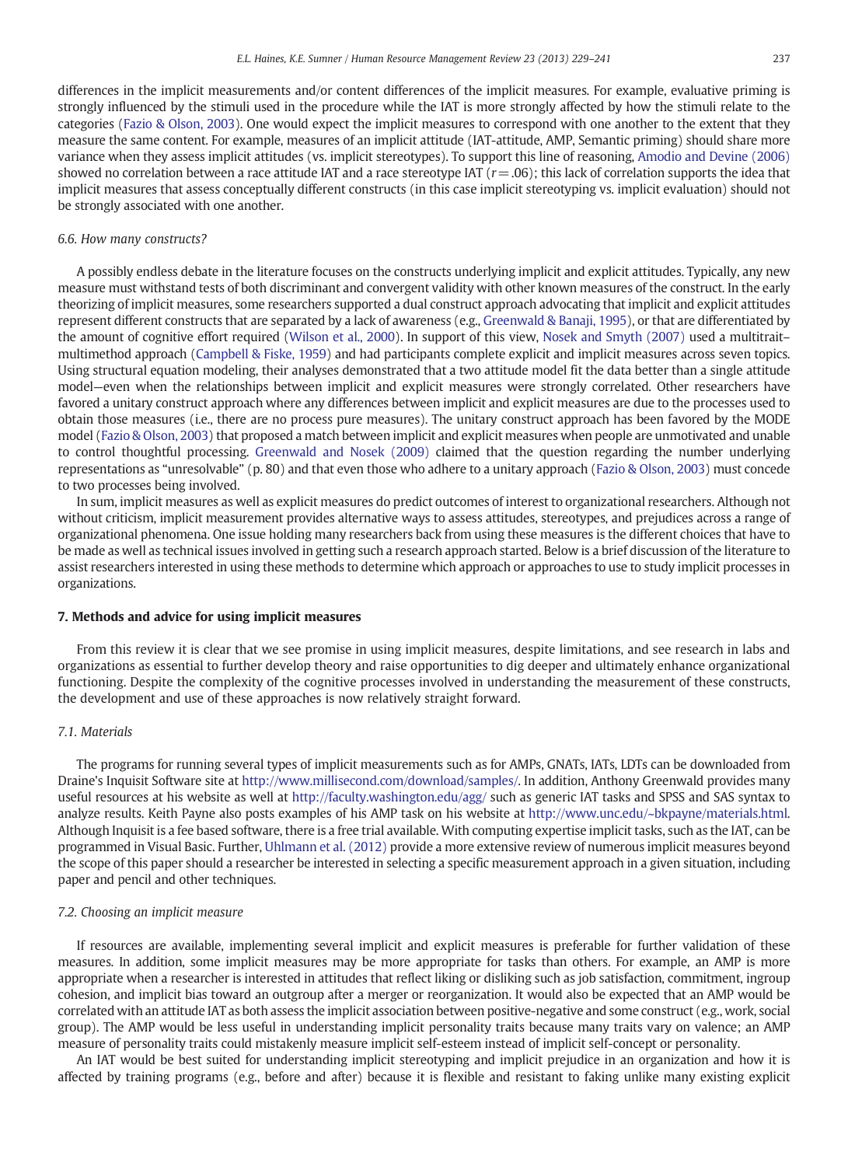differences in the implicit measurements and/or content differences of the implicit measures. For example, evaluative priming is strongly influenced by the stimuli used in the procedure while the IAT is more strongly affected by how the stimuli relate to the categories ([Fazio & Olson, 2003](#page-10-0)). One would expect the implicit measures to correspond with one another to the extent that they measure the same content. For example, measures of an implicit attitude (IAT-attitude, AMP, Semantic priming) should share more variance when they assess implicit attitudes (vs. implicit stereotypes). To support this line of reasoning, [Amodio and Devine \(2006\)](#page-10-0) showed no correlation between a race attitude IAT and a race stereotype IAT  $(r=.06)$ ; this lack of correlation supports the idea that implicit measures that assess conceptually different constructs (in this case implicit stereotyping vs. implicit evaluation) should not be strongly associated with one another.

## 6.6. How many constructs?

A possibly endless debate in the literature focuses on the constructs underlying implicit and explicit attitudes. Typically, any new measure must withstand tests of both discriminant and convergent validity with other known measures of the construct. In the early theorizing of implicit measures, some researchers supported a dual construct approach advocating that implicit and explicit attitudes represent different constructs that are separated by a lack of awareness (e.g., [Greenwald & Banaji, 1995\)](#page-11-0), or that are differentiated by the amount of cognitive effort required [\(Wilson et al., 2000](#page-12-0)). In support of this view, [Nosek and Smyth \(2007\)](#page-12-0) used a multitrait– multimethod approach ([Campbell & Fiske, 1959\)](#page-10-0) and had participants complete explicit and implicit measures across seven topics. Using structural equation modeling, their analyses demonstrated that a two attitude model fit the data better than a single attitude model—even when the relationships between implicit and explicit measures were strongly correlated. Other researchers have favored a unitary construct approach where any differences between implicit and explicit measures are due to the processes used to obtain those measures (i.e., there are no process pure measures). The unitary construct approach has been favored by the MODE model [\(Fazio & Olson, 2003\)](#page-10-0) that proposed a match between implicit and explicit measures when people are unmotivated and unable to control thoughtful processing. [Greenwald and Nosek \(2009\)](#page-11-0) claimed that the question regarding the number underlying representations as "unresolvable" (p. 80) and that even those who adhere to a unitary approach ([Fazio & Olson, 2003\)](#page-10-0) must concede to two processes being involved.

In sum, implicit measures as well as explicit measures do predict outcomes of interest to organizational researchers. Although not without criticism, implicit measurement provides alternative ways to assess attitudes, stereotypes, and prejudices across a range of organizational phenomena. One issue holding many researchers back from using these measures is the different choices that have to be made as well as technical issues involved in getting such a research approach started. Below is a brief discussion of the literature to assist researchers interested in using these methods to determine which approach or approaches to use to study implicit processes in organizations.

#### 7. Methods and advice for using implicit measures

From this review it is clear that we see promise in using implicit measures, despite limitations, and see research in labs and organizations as essential to further develop theory and raise opportunities to dig deeper and ultimately enhance organizational functioning. Despite the complexity of the cognitive processes involved in understanding the measurement of these constructs, the development and use of these approaches is now relatively straight forward.

# 7.1. Materials

The programs for running several types of implicit measurements such as for AMPs, GNATs, IATs, LDTs can be downloaded from Draine's Inquisit Software site at [http://www.millisecond.com/download/samples/.](http://www.millisecond.com/download/samples/) In addition, Anthony Greenwald provides many useful resources at his website as well at <http://faculty.washington.edu/agg/> such as generic IAT tasks and SPSS and SAS syntax to analyze results. Keith Payne also posts examples of his AMP task on his website at <http://www.unc.edu/~bkpayne/materials.html>. Although Inquisit is a fee based software, there is a free trial available. With computing expertise implicit tasks, such as the IAT, can be programmed in Visual Basic. Further, [Uhlmann et al. \(2012\)](#page-12-0) provide a more extensive review of numerous implicit measures beyond the scope of this paper should a researcher be interested in selecting a specific measurement approach in a given situation, including paper and pencil and other techniques.

#### 7.2. Choosing an implicit measure

If resources are available, implementing several implicit and explicit measures is preferable for further validation of these measures. In addition, some implicit measures may be more appropriate for tasks than others. For example, an AMP is more appropriate when a researcher is interested in attitudes that reflect liking or disliking such as job satisfaction, commitment, ingroup cohesion, and implicit bias toward an outgroup after a merger or reorganization. It would also be expected that an AMP would be correlated with an attitude IAT as both assess the implicit association between positive-negative and some construct (e.g., work, social group). The AMP would be less useful in understanding implicit personality traits because many traits vary on valence; an AMP measure of personality traits could mistakenly measure implicit self-esteem instead of implicit self-concept or personality.

An IAT would be best suited for understanding implicit stereotyping and implicit prejudice in an organization and how it is affected by training programs (e.g., before and after) because it is flexible and resistant to faking unlike many existing explicit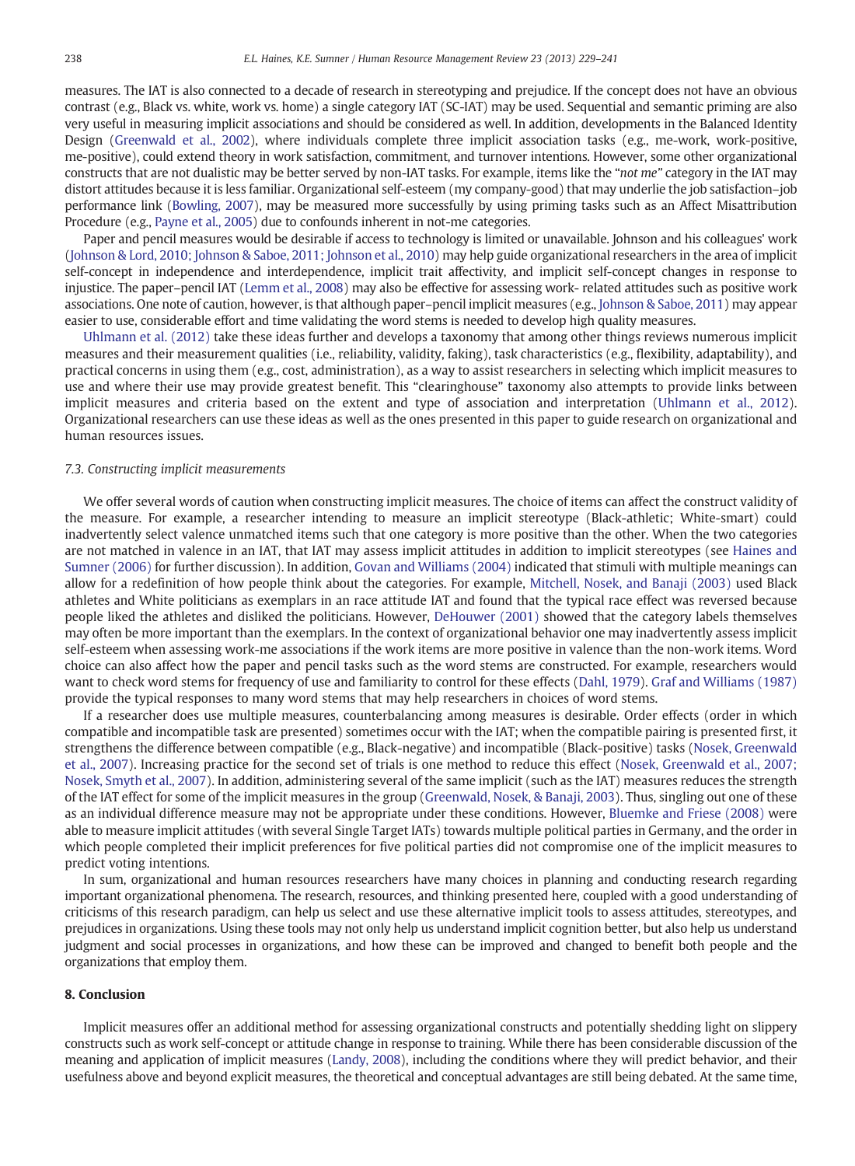measures. The IAT is also connected to a decade of research in stereotyping and prejudice. If the concept does not have an obvious contrast (e.g., Black vs. white, work vs. home) a single category IAT (SC-IAT) may be used. Sequential and semantic priming are also very useful in measuring implicit associations and should be considered as well. In addition, developments in the Balanced Identity Design [\(Greenwald et al., 2002](#page-11-0)), where individuals complete three implicit association tasks (e.g., me-work, work-positive, me-positive), could extend theory in work satisfaction, commitment, and turnover intentions. However, some other organizational constructs that are not dualistic may be better served by non-IAT tasks. For example, items like the "not me" category in the IAT may distort attitudes because it is less familiar. Organizational self-esteem (my company-good) that may underlie the job satisfaction–job performance link ([Bowling, 2007](#page-10-0)), may be measured more successfully by using priming tasks such as an Affect Misattribution Procedure (e.g., [Payne et al., 2005\)](#page-12-0) due to confounds inherent in not-me categories.

Paper and pencil measures would be desirable if access to technology is limited or unavailable. Johnson and his colleagues' work ([Johnson & Lord, 2010; Johnson & Saboe, 2011; Johnson et al., 2010](#page-11-0)) may help guide organizational researchers in the area of implicit self-concept in independence and interdependence, implicit trait affectivity, and implicit self-concept changes in response to injustice. The paper–pencil IAT ([Lemm et al., 2008\)](#page-11-0) may also be effective for assessing work- related attitudes such as positive work associations. One note of caution, however, is that although paper–pencil implicit measures (e.g., [Johnson & Saboe, 2011\)](#page-11-0) may appear easier to use, considerable effort and time validating the word stems is needed to develop high quality measures.

[Uhlmann et al. \(2012\)](#page-12-0) take these ideas further and develops a taxonomy that among other things reviews numerous implicit measures and their measurement qualities (i.e., reliability, validity, faking), task characteristics (e.g., flexibility, adaptability), and practical concerns in using them (e.g., cost, administration), as a way to assist researchers in selecting which implicit measures to use and where their use may provide greatest benefit. This "clearinghouse" taxonomy also attempts to provide links between implicit measures and criteria based on the extent and type of association and interpretation [\(Uhlmann et al., 2012](#page-12-0)). Organizational researchers can use these ideas as well as the ones presented in this paper to guide research on organizational and human resources issues.

#### 7.3. Constructing implicit measurements

We offer several words of caution when constructing implicit measures. The choice of items can affect the construct validity of the measure. For example, a researcher intending to measure an implicit stereotype (Black-athletic; White-smart) could inadvertently select valence unmatched items such that one category is more positive than the other. When the two categories are not matched in valence in an IAT, that IAT may assess implicit attitudes in addition to implicit stereotypes (see [Haines and](#page-11-0) [Sumner \(2006\)](#page-11-0) for further discussion). In addition, [Govan and Williams \(2004\)](#page-11-0) indicated that stimuli with multiple meanings can allow for a redefinition of how people think about the categories. For example, [Mitchell, Nosek, and Banaji \(2003\)](#page-11-0) used Black athletes and White politicians as exemplars in an race attitude IAT and found that the typical race effect was reversed because people liked the athletes and disliked the politicians. However, [DeHouwer \(2001\)](#page-10-0) showed that the category labels themselves may often be more important than the exemplars. In the context of organizational behavior one may inadvertently assess implicit self-esteem when assessing work-me associations if the work items are more positive in valence than the non-work items. Word choice can also affect how the paper and pencil tasks such as the word stems are constructed. For example, researchers would want to check word stems for frequency of use and familiarity to control for these effects [\(Dahl, 1979](#page-10-0)). [Graf and Williams \(1987\)](#page-11-0) provide the typical responses to many word stems that may help researchers in choices of word stems.

If a researcher does use multiple measures, counterbalancing among measures is desirable. Order effects (order in which compatible and incompatible task are presented) sometimes occur with the IAT; when the compatible pairing is presented first, it strengthens the difference between compatible (e.g., Black-negative) and incompatible (Black-positive) tasks ([Nosek, Greenwald](#page-11-0) [et al., 2007\)](#page-11-0). Increasing practice for the second set of trials is one method to reduce this effect [\(Nosek, Greenwald et al., 2007;](#page-11-0) [Nosek, Smyth et al., 2007](#page-11-0)). In addition, administering several of the same implicit (such as the IAT) measures reduces the strength of the IAT effect for some of the implicit measures in the group ([Greenwald, Nosek, & Banaji, 2003](#page-11-0)). Thus, singling out one of these as an individual difference measure may not be appropriate under these conditions. However, [Bluemke and Friese \(2008\)](#page-10-0) were able to measure implicit attitudes (with several Single Target IATs) towards multiple political parties in Germany, and the order in which people completed their implicit preferences for five political parties did not compromise one of the implicit measures to predict voting intentions.

In sum, organizational and human resources researchers have many choices in planning and conducting research regarding important organizational phenomena. The research, resources, and thinking presented here, coupled with a good understanding of criticisms of this research paradigm, can help us select and use these alternative implicit tools to assess attitudes, stereotypes, and prejudices in organizations. Using these tools may not only help us understand implicit cognition better, but also help us understand judgment and social processes in organizations, and how these can be improved and changed to benefit both people and the organizations that employ them.

## 8. Conclusion

Implicit measures offer an additional method for assessing organizational constructs and potentially shedding light on slippery constructs such as work self-concept or attitude change in response to training. While there has been considerable discussion of the meaning and application of implicit measures ([Landy, 2008\)](#page-11-0), including the conditions where they will predict behavior, and their usefulness above and beyond explicit measures, the theoretical and conceptual advantages are still being debated. At the same time,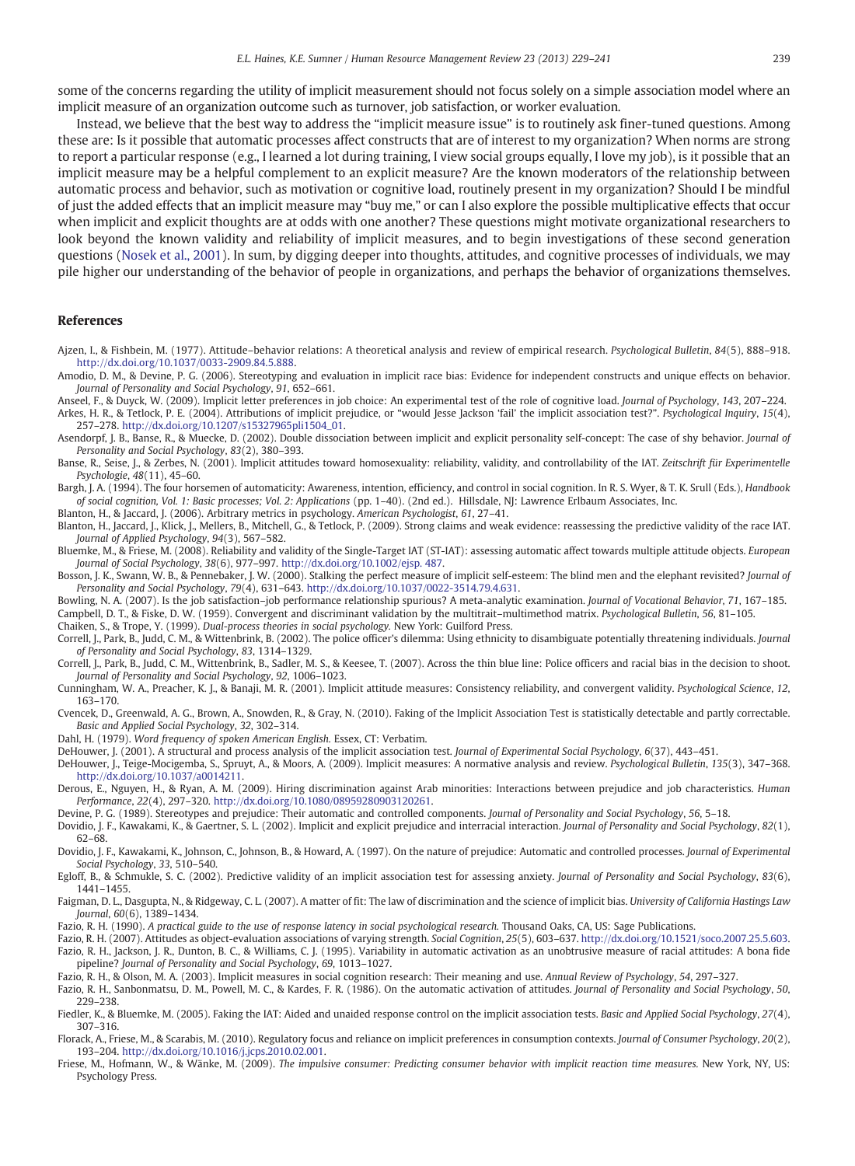<span id="page-10-0"></span>some of the concerns regarding the utility of implicit measurement should not focus solely on a simple association model where an implicit measure of an organization outcome such as turnover, job satisfaction, or worker evaluation.

Instead, we believe that the best way to address the "implicit measure issue" is to routinely ask finer-tuned questions. Among these are: Is it possible that automatic processes affect constructs that are of interest to my organization? When norms are strong to report a particular response (e.g., I learned a lot during training, I view social groups equally, I love my job), is it possible that an implicit measure may be a helpful complement to an explicit measure? Are the known moderators of the relationship between automatic process and behavior, such as motivation or cognitive load, routinely present in my organization? Should I be mindful of just the added effects that an implicit measure may "buy me," or can I also explore the possible multiplicative effects that occur when implicit and explicit thoughts are at odds with one another? These questions might motivate organizational researchers to look beyond the known validity and reliability of implicit measures, and to begin investigations of these second generation questions [\(Nosek et al., 2001](#page-12-0)). In sum, by digging deeper into thoughts, attitudes, and cognitive processes of individuals, we may pile higher our understanding of the behavior of people in organizations, and perhaps the behavior of organizations themselves.

# References

Ajzen, I., & Fishbein, M. (1977). Attitude–behavior relations: A theoretical analysis and review of empirical research. Psychological Bulletin, 84(5), 888–918. http://dx.doi.org/[10.1037/0033-2909.84.5.888](http://dx.doi.org/10.1037/0033-2909.84.5.888).

Amodio, D. M., & Devine, P. G. (2006). Stereotyping and evaluation in implicit race bias: Evidence for independent constructs and unique effects on behavior. Journal of Personality and Social Psychology, 91, 652–661.

Anseel, F., & Duyck, W. (2009). Implicit letter preferences in job choice: An experimental test of the role of cognitive load. Journal of Psychology, 143, 207–224.

Arkes, H. R., & Tetlock, P. E. (2004). Attributions of implicit prejudice, or "would Jesse Jackson 'fail' the implicit association test?". Psychological Inquiry, 15(4), 257–278. http://dx.doi.org[/10.1207/s15327965pli1504\\_01.](http://dx.doi.org/10.1207/s15327965pli1504_01)

Asendorpf, J. B., Banse, R., & Muecke, D. (2002). Double dissociation between implicit and explicit personality self-concept: The case of shy behavior. Journal of Personality and Social Psychology, 83(2), 380–393.

Banse, R., Seise, J., & Zerbes, N. (2001). Implicit attitudes toward homosexuality: reliability, validity, and controllability of the IAT. Zeitschrift für Experimentelle Psychologie, 48(11), 45–60.

Bargh, J. A. (1994). The four horsemen of automaticity: Awareness, intention, efficiency, and control in social cognition. In R. S. Wyer, & T. K. Srull (Eds.), Handbook of social cognition, Vol. 1: Basic processes; Vol. 2: Applications (pp. 1–40). (2nd ed.). Hillsdale, NJ: Lawrence Erlbaum Associates, Inc.

Blanton, H., & Jaccard, J. (2006). Arbitrary metrics in psychology. American Psychologist, 61, 27–41.

Blanton, H., Jaccard, J., Klick, J., Mellers, B., Mitchell, G., & Tetlock, P. (2009). Strong claims and weak evidence: reassessing the predictive validity of the race IAT. Journal of Applied Psychology, 94(3), 567–582.

Bluemke, M., & Friese, M. (2008). Reliability and validity of the Single-Target IAT (ST-IAT): assessing automatic affect towards multiple attitude objects. European Journal of Social Psychology, 38(6), 977–997. http://dx.doi.org/[10.1002/ejsp. 487.](http://dx.doi.org/10.1002/ejsp. 487)

Bosson, J. K., Swann, W. B., & Pennebaker, J. W. (2000). Stalking the perfect measure of implicit self-esteem: The blind men and the elephant revisited? Journal of Personality and Social Psychology, 79(4), 631–643. http://dx.doi.org/[10.1037/0022-3514.79.4.631.](http://dx.doi.org/10.1037/0022-3514.79.4.631)

Bowling, N. A. (2007). Is the job satisfaction–job performance relationship spurious? A meta-analytic examination. Journal of Vocational Behavior, 71, 167–185. Campbell, D. T., & Fiske, D. W. (1959). Convergent and discriminant validation by the multitrait–multimethod matrix. Psychological Bulletin, 56, 81–105. Chaiken, S., & Trope, Y. (1999). Dual-process theories in social psychology. New York: Guilford Press.

Correll, J., Park, B., Judd, C. M., & Wittenbrink, B. (2002). The police officer's dilemma: Using ethnicity to disambiguate potentially threatening individuals. Journal of Personality and Social Psychology, 83, 1314–1329.

Correll, J., Park, B., Judd, C. M., Wittenbrink, B., Sadler, M. S., & Keesee, T. (2007). Across the thin blue line: Police officers and racial bias in the decision to shoot. Journal of Personality and Social Psychology, 92, 1006–1023.

Cunningham, W. A., Preacher, K. J., & Banaji, M. R. (2001). Implicit attitude measures: Consistency reliability, and convergent validity. Psychological Science, 12, 163–170.

Cvencek, D., Greenwald, A. G., Brown, A., Snowden, R., & Gray, N. (2010). Faking of the Implicit Association Test is statistically detectable and partly correctable. Basic and Applied Social Psychology, 32, 302–314.

Dahl, H. (1979). Word frequency of spoken American English. Essex, CT: Verbatim.

DeHouwer, J. (2001). A structural and process analysis of the implicit association test. Journal of Experimental Social Psychology, 6(37), 443–451.

DeHouwer, J., Teige-Mocigemba, S., Spruyt, A., & Moors, A. (2009). Implicit measures: A normative analysis and review. Psychological Bulletin, 135(3), 347–368. http://dx.doi.org[/10.1037/a0014211.](http://dx.doi.org/10.1037/a0014211)

Derous, E., Nguyen, H., & Ryan, A. M. (2009). Hiring discrimination against Arab minorities: Interactions between prejudice and job characteristics. Human Performance, 22(4), 297–320. http://dx.doi.org/[10.1080/08959280903120261](http://dx.doi.org/10.1080/08959280903120261).

Devine, P. G. (1989). Stereotypes and prejudice: Their automatic and controlled components. Journal of Personality and Social Psychology, 56, 5–18.

Dovidio, J. F., Kawakami, K., & Gaertner, S. L. (2002). Implicit and explicit prejudice and interracial interaction. Journal of Personality and Social Psychology, 82(1), 62–68.

Dovidio, J. F., Kawakami, K., Johnson, C., Johnson, B., & Howard, A. (1997). On the nature of prejudice: Automatic and controlled processes. Journal of Experimental Social Psychology, 33, 510–540.

Egloff, B., & Schmukle, S. C. (2002). Predictive validity of an implicit association test for assessing anxiety. Journal of Personality and Social Psychology, 83(6), 1441–1455.

Faigman, D. L., Dasgupta, N., & Ridgeway, C. L. (2007). A matter of fit: The law of discrimination and the science of implicit bias. University of California Hastings Law Journal, 60(6), 1389–1434.

Fazio, R. H. (1990). A practical guide to the use of response latency in social psychological research. Thousand Oaks, CA, US: Sage Publications.

Fazio, R. H. (2007). Attitudes as object-evaluation associations of varying strength. Social Cognition, 25(5), 603–637. http://dx.doi.org/[10.1521/soco.2007.25.5.603.](http://dx.doi.org/10.1521/soco.2007.25.5.603) Fazio, R. H., Jackson, J. R., Dunton, B. C., & Williams, C. J. (1995). Variability in automatic activation as an unobtrusive measure of racial attitudes: A bona fide pipeline? Journal of Personality and Social Psychology, 69, 1013–1027.

Fazio, R. H., & Olson, M. A. (2003). Implicit measures in social cognition research: Their meaning and use. Annual Review of Psychology, 54, 297–327.

Fazio, R. H., Sanbonmatsu, D. M., Powell, M. C., & Kardes, F. R. (1986). On the automatic activation of attitudes. Journal of Personality and Social Psychology, 50,

229–238. Fiedler, K., & Bluemke, M. (2005). Faking the IAT: Aided and unaided response control on the implicit association tests. Basic and Applied Social Psychology, 27(4), 307–316.

Florack, A., Friese, M., & Scarabis, M. (2010). Regulatory focus and reliance on implicit preferences in consumption contexts. Journal of Consumer Psychology, 20(2), 193–204. http://dx.doi.org[/10.1016/j.jcps.2010.02.001](http://dx.doi.org/10.1016/j.jcps.2010.02.001).

Friese, M., Hofmann, W., & Wänke, M. (2009). The impulsive consumer: Predicting consumer behavior with implicit reaction time measures. New York, NY, US: Psychology Press.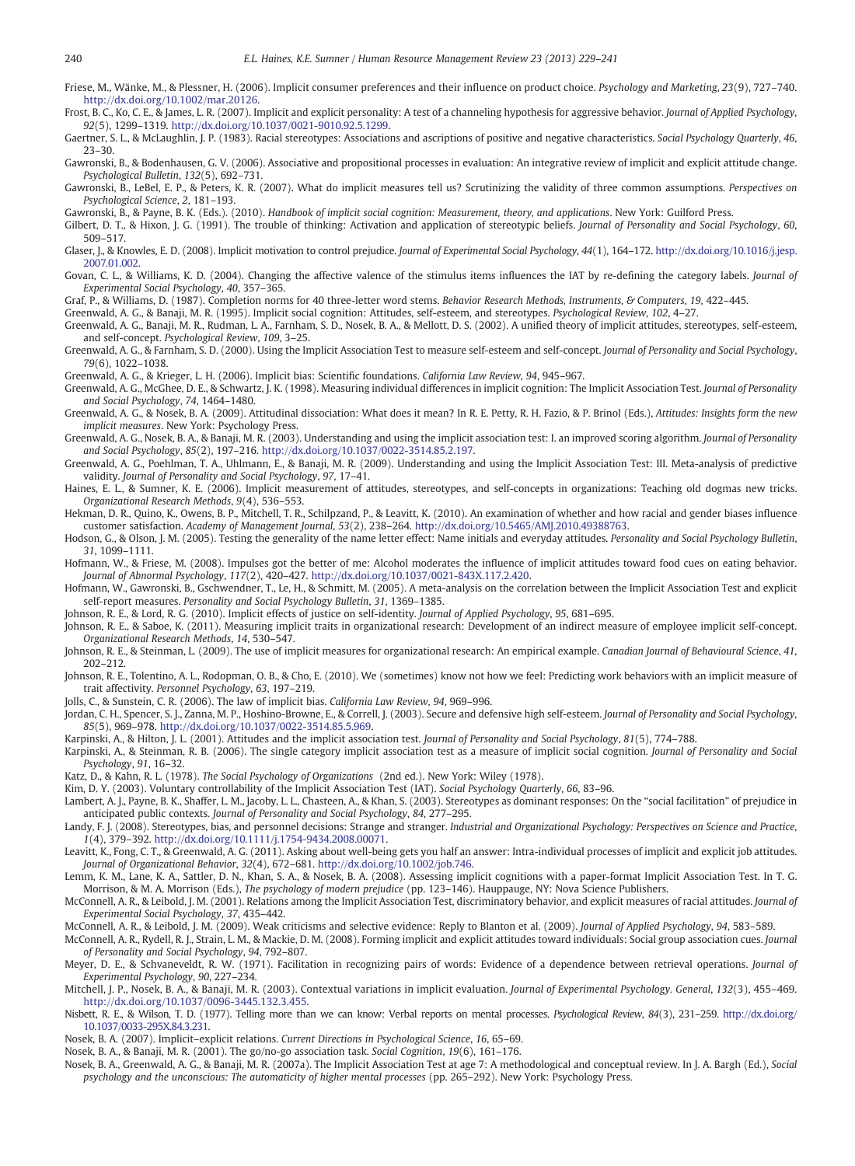<span id="page-11-0"></span>Friese, M., Wänke, M., & Plessner, H. (2006). Implicit consumer preferences and their influence on product choice. Psychology and Marketing, 23(9), 727–740. http://dx.doi.org[/10.1002/mar.20126](http://dx.doi.org/10.1002/mar.20126).

Frost, B. C., Ko, C. E., & James, L. R. (2007). Implicit and explicit personality: A test of a channeling hypothesis for aggressive behavior. Journal of Applied Psychology, 92(5), 1299–1319. http://dx.doi.org/[10.1037/0021-9010.92.5.1299](http://dx.doi.org/10.1037/0021-9010.92.5.1299).

Gaertner, S. L., & McLaughlin, J. P. (1983). Racial stereotypes: Associations and ascriptions of positive and negative characteristics. Social Psychology Quarterly, 46, 23–30.

Gawronski, B., & Bodenhausen, G. V. (2006). Associative and propositional processes in evaluation: An integrative review of implicit and explicit attitude change. Psychological Bulletin, 132(5), 692–731.

Gawronski, B., LeBel, E. P., & Peters, K. R. (2007). What do implicit measures tell us? Scrutinizing the validity of three common assumptions. Perspectives on Psychological Science, 2, 181–193.

Gawronski, B., & Payne, B. K. (Eds.). (2010). Handbook of implicit social cognition: Measurement, theory, and applications. New York: Guilford Press.

Gilbert, D. T., & Hixon, J. G. (1991). The trouble of thinking: Activation and application of stereotypic beliefs. Journal of Personality and Social Psychology, 60, 509–517.

Glaser, J., & Knowles, E. D. (2008). Implicit motivation to control prejudice. Journal of Experimental Social Psychology, 44(1), 164-172. http://dx.doi.org[/10.1016/j.jesp.](http://dx.doi.org/10.1016/j.jesp. 2007.01.002) [2007.01.002.](http://dx.doi.org/10.1016/j.jesp. 2007.01.002)

Govan, C. L., & Williams, K. D. (2004). Changing the affective valence of the stimulus items influences the IAT by re-defining the category labels. Journal of Experimental Social Psychology, 40, 357–365.

Graf, P., & Williams, D. (1987). Completion norms for 40 three-letter word stems. Behavior Research Methods, Instruments, & Computers, 19, 422–445.

Greenwald, A. G., & Banaji, M. R. (1995). Implicit social cognition: Attitudes, self-esteem, and stereotypes. Psychological Review, 102, 4–27.

Greenwald, A. G., Banaji, M. R., Rudman, L. A., Farnham, S. D., Nosek, B. A., & Mellott, D. S. (2002). A unified theory of implicit attitudes, stereotypes, self-esteem, and self-concept. Psychological Review, 109, 3–25.

Greenwald, A. G., & Farnham, S. D. (2000). Using the Implicit Association Test to measure self-esteem and self-concept. Journal of Personality and Social Psychology, 79(6), 1022–1038.

Greenwald, A. G., & Krieger, L. H. (2006). Implicit bias: Scientific foundations. California Law Review, 94, 945–967.

Greenwald, A. G., McGhee, D. E., & Schwartz, J. K. (1998). Measuring individual differences in implicit cognition: The Implicit Association Test. Journal of Personality and Social Psychology, 74, 1464–1480.

Greenwald, A. G., & Nosek, B. A. (2009). Attitudinal dissociation: What does it mean? In R. E. Petty, R. H. Fazio, & P. Brinol (Eds.), Attitudes: Insights form the new implicit measures. New York: Psychology Press

Greenwald, A. G., Nosek, B. A., & Banaji, M. R. (2003). Understanding and using the implicit association test: I. an improved scoring algorithm. Journal of Personality and Social Psychology, 85(2), 197–216. http://dx.doi.org[/10.1037/0022-3514.85.2.197](http://dx.doi.org/10.1037/0022-3514.85.2.197).

Greenwald, A. G., Poehlman, T. A., Uhlmann, E., & Banaji, M. R. (2009). Understanding and using the Implicit Association Test: III. Meta-analysis of predictive validity. Journal of Personality and Social Psychology, 97, 17–41.

Haines, E. L., & Sumner, K. E. (2006). Implicit measurement of attitudes, stereotypes, and self-concepts in organizations: Teaching old dogmas new tricks. Organizational Research Methods, 9(4), 536–553.

Hekman, D. R., Quino, K., Owens, B. P., Mitchell, T. R., Schilpzand, P., & Leavitt, K. (2010). An examination of whether and how racial and gender biases influence customer satisfaction. Academy of Management Journal, 53(2), 238–264. http://dx.doi.org/[10.5465/AMJ.2010.49388763](http://dx.doi.org/10.5465/AMJ.2010.49388763).

Hodson, G., & Olson, J. M. (2005). Testing the generality of the name letter effect: Name initials and everyday attitudes. Personality and Social Psychology Bulletin, 31, 1099–1111.

Hofmann, W., & Friese, M. (2008). Impulses got the better of me: Alcohol moderates the influence of implicit attitudes toward food cues on eating behavior. Journal of Abnormal Psychology, 117(2), 420–427. http://dx.doi.org/[10.1037/0021-843X.117.2.420.](http://dx.doi.org/10.1037/0021-843X.117.2.420)

Hofmann, W., Gawronski, B., Gschwendner, T., Le, H., & Schmitt, M. (2005). A meta-analysis on the correlation between the Implicit Association Test and explicit self-report measures. Personality and Social Psychology Bulletin, 31, 1369–1385.

Johnson, R. E., & Lord, R. G. (2010). Implicit effects of justice on self-identity. Journal of Applied Psychology, 95, 681-695.

Johnson, R. E., & Saboe, K. (2011). Measuring implicit traits in organizational research: Development of an indirect measure of employee implicit self-concept. Organizational Research Methods, 14, 530–547.

Johnson, R. E., & Steinman, L. (2009). The use of implicit measures for organizational research: An empirical example. Canadian Journal of Behavioural Science, 41, 202–212.

Johnson, R. E., Tolentino, A. L., Rodopman, O. B., & Cho, E. (2010). We (sometimes) know not how we feel: Predicting work behaviors with an implicit measure of trait affectivity. Personnel Psychology, 63, 197–219.

Jolls, C., & Sunstein, C. R. (2006). The law of implicit bias. California Law Review, 94, 969–996.

Jordan, C. H., Spencer, S. J., Zanna, M. P., Hoshino-Browne, E., & Correll, J. (2003). Secure and defensive high self-esteem. Journal of Personality and Social Psychology, 85(5), 969–978. http://dx.doi.org[/10.1037/0022-3514.85.5.969](http://dx.doi.org/10.1037/0022-3514.85.5.969).

Karpinski, A., & Hilton, I. L. (2001). Attitudes and the implicit association test. Journal of Personality and Social Psychology, 81(5), 774–788.

Karpinski, A., & Steinman, R. B. (2006). The single category implicit association test as a measure of implicit social cognition. Journal of Personality and Social Psychology, 91, 16–32.

Katz, D., & Kahn, R. L. (1978). The Social Psychology of Organizations (2nd ed.). New York: Wiley (1978).

Kim, D. Y. (2003). Voluntary controllability of the Implicit Association Test (IAT). Social Psychology Quarterly, 66, 83–96.

Lambert, A. J., Payne, B. K., Shaffer, L. M., Jacoby, L. L., Chasteen, A., & Khan, S. (2003). Stereotypes as dominant responses: On the "social facilitation" of prejudice in anticipated public contexts. Journal of Personality and Social Psychology, 84, 277–295.

Landy, F. J. (2008). Stereotypes, bias, and personnel decisions: Strange and stranger. Industrial and Organizational Psychology: Perspectives on Science and Practice, 1(4), 379–392. http://dx.doi.org/[10.1111/j.1754-9434.2008.00071.](http://dx.doi.org/10.1111/j.1754-9434.2008.00071)

Leavitt, K., Fong, C. T., & Greenwald, A. G. (2011). Asking about well-being gets you half an answer: Intra-individual processes of implicit and explicit job attitudes. Journal of Organizational Behavior, 32(4), 672–681. http://dx.doi.org/[10.1002/job.746](http://dx.doi.org/10.1002/job.746).

Lemm, K. M., Lane, K. A., Sattler, D. N., Khan, S. A., & Nosek, B. A. (2008). Assessing implicit cognitions with a paper-format Implicit Association Test. In T. G. Morrison, & M. A. Morrison (Eds.), The psychology of modern prejudice (pp. 123–146). Hauppauge, NY: Nova Science Publishers.

McConnell, A. R., & Leibold, J. M. (2001). Relations among the Implicit Association Test, discriminatory behavior, and explicit measures of racial attitudes. Journal of Experimental Social Psychology, 37, 435–442.

McConnell, A. R., & Leibold, J. M. (2009). Weak criticisms and selective evidence: Reply to Blanton et al. (2009). Journal of Applied Psychology, 94, 583–589.

McConnell, A. R., Rydell, R. J., Strain, L. M., & Mackie, D. M. (2008). Forming implicit and explicit attitudes toward individuals: Social group association cues. Journal of Personality and Social Psychology, 94, 792–807.

Meyer, D. E., & Schvaneveldt, R. W. (1971). Facilitation in recognizing pairs of words: Evidence of a dependence between retrieval operations. Journal oj<br>Experimental Psychology, 90, 227–234.

Mitchell, J. P., Nosek, B. A., & Banaji, M. R. (2003). Contextual variations in implicit evaluation. Journal of Experimental Psychology. General, 132(3), 455–469. http://dx.doi.org[/10.1037/0096-3445.132.3.455](http://dx.doi.org/10.1037/0096-3445.132.3.455).

Nisbett, R. E., & Wilson, T. D. (1977). Telling more than we can know: Verbal reports on mental processes. Psychological Review, 84(3), 231-259. http://dx.doi.org/ [10.1037/0033-295X.84.3.231](http://dx.doi.org/10.1037/0033-295X.84.3.231).

Nosek, B. A. (2007). Implicit–explicit relations. Current Directions in Psychological Science, 16, 65–69.

Nosek, B. A., & Banaji, M. R. (2001). The go/no-go association task. Social Cognition, 19(6), 161–176.

Nosek, B. A., Greenwald, A. G., & Banaji, M. R. (2007a). The Implicit Association Test at age 7: A methodological and conceptual review. In J. A. Bargh (Ed.), Social psychology and the unconscious: The automaticity of higher mental processes (pp. 265–292). New York: Psychology Press.